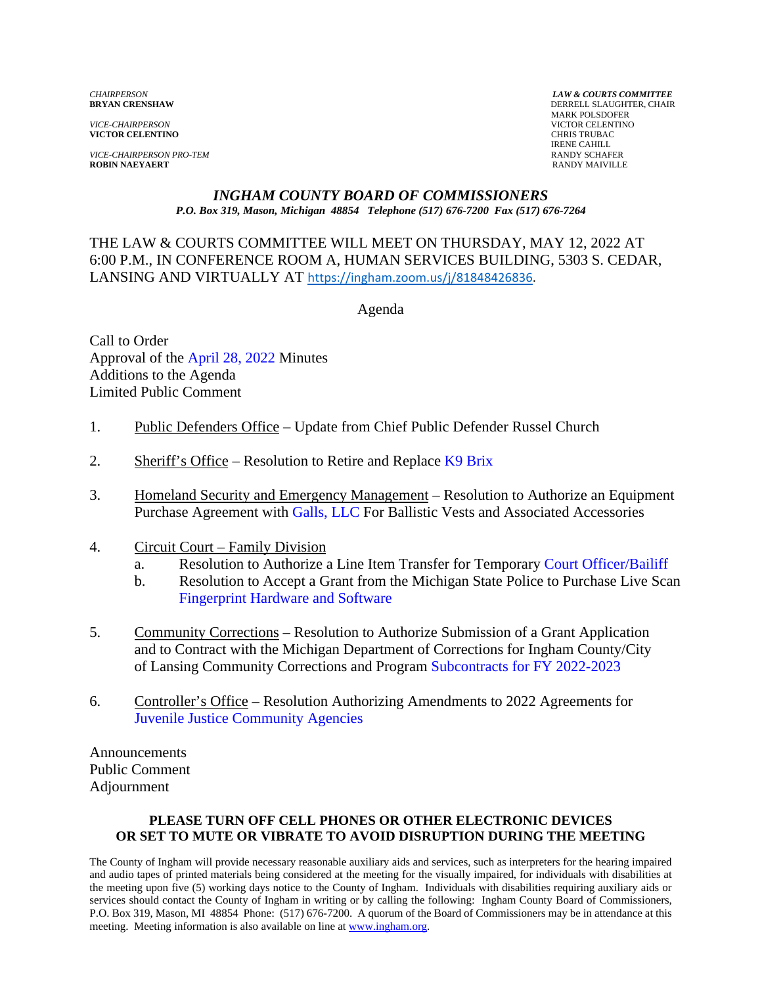*VICE-CHAIRPERSON* VICTOR CELENTINO **VICTOR CELENTINO** 

*VICE-CHAIRPERSON PRO-TEM* RANDY SCHAFER **ROBIN NAEYAERT** 

*CHAIRPERSON LAW & COURTS COMMITTEE* **DERRELL SLAUGHTER, CHAIR**  MARK POLSDOFER IRENE CAHILL<br>RANDY SCHAFER

#### *INGHAM COUNTY BOARD OF COMMISSIONERS P.O. Box 319, Mason, Michigan 48854 Telephone (517) 676-7200 Fax (517) 676-7264*

THE LAW & COURTS COMMITTEE WILL MEET ON THURSDAY, MAY 12, 2022 AT 6:00 P.M., IN CONFERENCE [ROOM A, HUMAN SERVICES BUILDING, 530](https://ingham.zoom.us/j/81848426836)3 S. CEDAR, LANSING AND VIRTUALLY AT https://ingham.zoom.us/j/81848426836.

Agenda

Call to Order Approval of th[e April 28, 2022 Minutes](#page-1-0)  Additions to the Agenda Limited Public Comment

- 1. Public Defenders Office Update from Chief Public Defender Russel Church
- 2. Sheriff's Office Resolution to Retire and Replace  $K9$  Brix
- 3. Homeland Security and Emergency Management Resolution to Authorize an Equipment Purchase Agreement with [Galls, LLC For Ball](#page-13-0)istic Vests and Associated Accessories
- 4. Circuit Court Family Division
	- a. Resolution to Authorize a Line Item Transfer for Tempo[rary Court Officer/Bailiff](#page-15-0)
	- b. Resolution to Accept a Grant from the Michigan State Police to Purchase Live Scan [Fingerprint Hardware and Software](#page-18-0)
- 5. Community Corrections Resolution to Authorize Submission of a Grant Application and to Contract with the Michigan Department of Corrections for Ingham County/City of Lansing Community Corrections and Progr[am Subcontracts for FY 2022-2023](#page-21-0)
- 6. Controller's Office Resolution Authorizing Amendments to 2022 Agreements for [Juvenile Justice Community Agencies](#page-24-0)

Announcements Public Comment Adjournment

#### **PLEASE TURN OFF CELL PHONES OR OTHER ELECTRONIC DEVICES OR SET TO MUTE OR VIBRATE TO AVOID DISRUPTION DURING THE MEETING**

The County of Ingham will provide necessary reasonable auxiliary aids and services, such as interpreters for the hearing impaired and audio tapes of printed materials being considered at the meeting for the visually impaired, for individuals with disabilities at the meeting upon five (5) working days notice to the County of Ingham. Individuals with disabilities requiring auxiliary aids or services should contact the County of Ingham in writing or by calling the following: Ingham County Board of Commissioners, P.O. Box 319, Mason, MI 48854 Phone: (517) 676-7200. A quorum of the Board of Commissioners may be in attendance at this meeting. Meeting information is also available on line at www.ingham.org.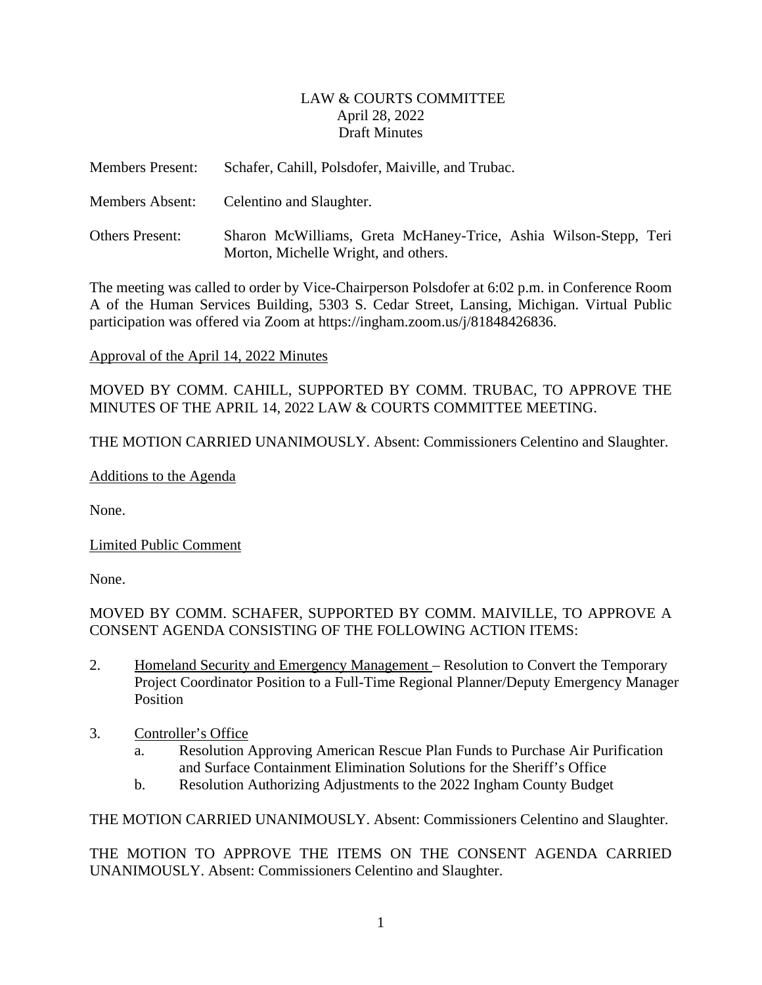### LAW & COURTS COMMITTEE April 28, 2022 Draft Minutes

<span id="page-1-0"></span>

| <b>Members Present:</b> | Schafer, Cahill, Polsdofer, Maiville, and Trubac.                                                        |
|-------------------------|----------------------------------------------------------------------------------------------------------|
| <b>Members Absent:</b>  | Celentino and Slaughter.                                                                                 |
| <b>Others Present:</b>  | Sharon McWilliams, Greta McHaney-Trice, Ashia Wilson-Stepp, Teri<br>Morton, Michelle Wright, and others. |

The meeting was called to order by Vice-Chairperson Polsdofer at 6:02 p.m. in Conference Room A of the Human Services Building, 5303 S. Cedar Street, Lansing, Michigan. Virtual Public participation was offered via Zoom at https://ingham.zoom.us/j/81848426836.

### Approval of the April 14, 2022 Minutes

MOVED BY COMM. CAHILL, SUPPORTED BY COMM. TRUBAC, TO APPROVE THE MINUTES OF THE APRIL 14, 2022 LAW & COURTS COMMITTEE MEETING.

THE MOTION CARRIED UNANIMOUSLY. Absent: Commissioners Celentino and Slaughter.

Additions to the Agenda

None.

Limited Public Comment

None.

MOVED BY COMM. SCHAFER, SUPPORTED BY COMM. MAIVILLE, TO APPROVE A CONSENT AGENDA CONSISTING OF THE FOLLOWING ACTION ITEMS:

- 2. Homeland Security and Emergency Management Resolution to Convert the Temporary Project Coordinator Position to a Full-Time Regional Planner/Deputy Emergency Manager Position
- 3. Controller's Office
	- a. Resolution Approving American Rescue Plan Funds to Purchase Air Purification and Surface Containment Elimination Solutions for the Sheriff's Office
	- b. Resolution Authorizing Adjustments to the 2022 Ingham County Budget

THE MOTION CARRIED UNANIMOUSLY. Absent: Commissioners Celentino and Slaughter.

THE MOTION TO APPROVE THE ITEMS ON THE CONSENT AGENDA CARRIED UNANIMOUSLY. Absent: Commissioners Celentino and Slaughter.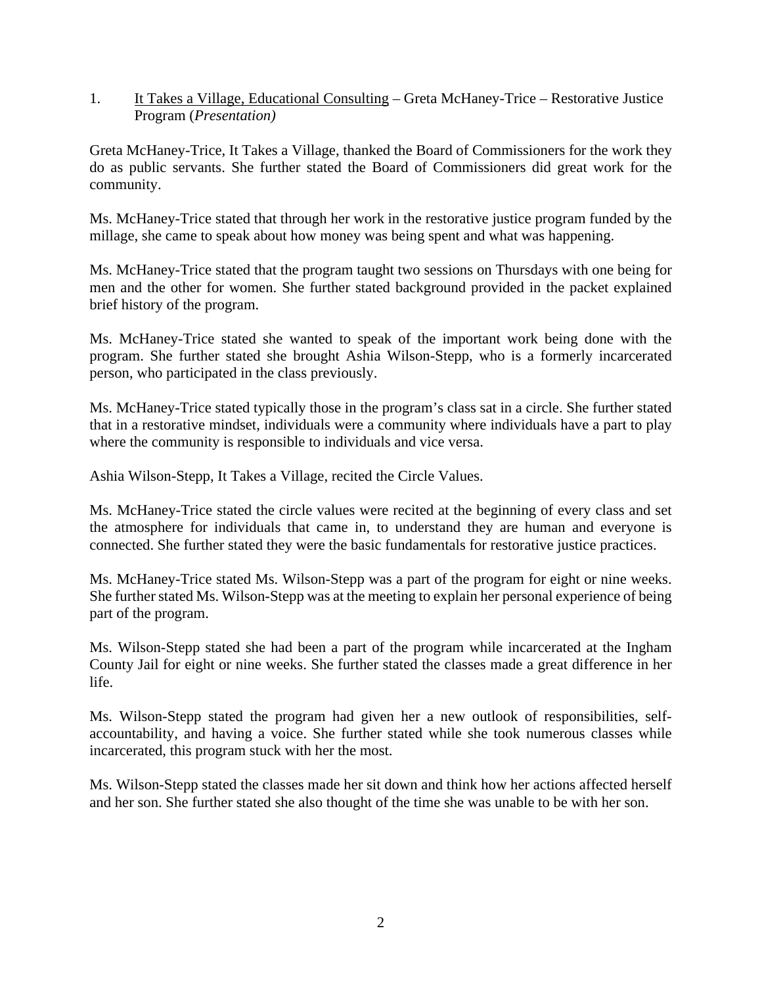1. It Takes a Village, Educational Consulting – Greta McHaney-Trice – Restorative Justice Program (*Presentation)*

Greta McHaney-Trice, It Takes a Village, thanked the Board of Commissioners for the work they do as public servants. She further stated the Board of Commissioners did great work for the community.

Ms. McHaney-Trice stated that through her work in the restorative justice program funded by the millage, she came to speak about how money was being spent and what was happening.

Ms. McHaney-Trice stated that the program taught two sessions on Thursdays with one being for men and the other for women. She further stated background provided in the packet explained brief history of the program.

Ms. McHaney-Trice stated she wanted to speak of the important work being done with the program. She further stated she brought Ashia Wilson-Stepp, who is a formerly incarcerated person, who participated in the class previously.

Ms. McHaney-Trice stated typically those in the program's class sat in a circle. She further stated that in a restorative mindset, individuals were a community where individuals have a part to play where the community is responsible to individuals and vice versa.

Ashia Wilson-Stepp, It Takes a Village, recited the Circle Values.

Ms. McHaney-Trice stated the circle values were recited at the beginning of every class and set the atmosphere for individuals that came in, to understand they are human and everyone is connected. She further stated they were the basic fundamentals for restorative justice practices.

Ms. McHaney-Trice stated Ms. Wilson-Stepp was a part of the program for eight or nine weeks. She further stated Ms. Wilson-Stepp was at the meeting to explain her personal experience of being part of the program.

Ms. Wilson-Stepp stated she had been a part of the program while incarcerated at the Ingham County Jail for eight or nine weeks. She further stated the classes made a great difference in her life.

Ms. Wilson-Stepp stated the program had given her a new outlook of responsibilities, selfaccountability, and having a voice. She further stated while she took numerous classes while incarcerated, this program stuck with her the most.

Ms. Wilson-Stepp stated the classes made her sit down and think how her actions affected herself and her son. She further stated she also thought of the time she was unable to be with her son.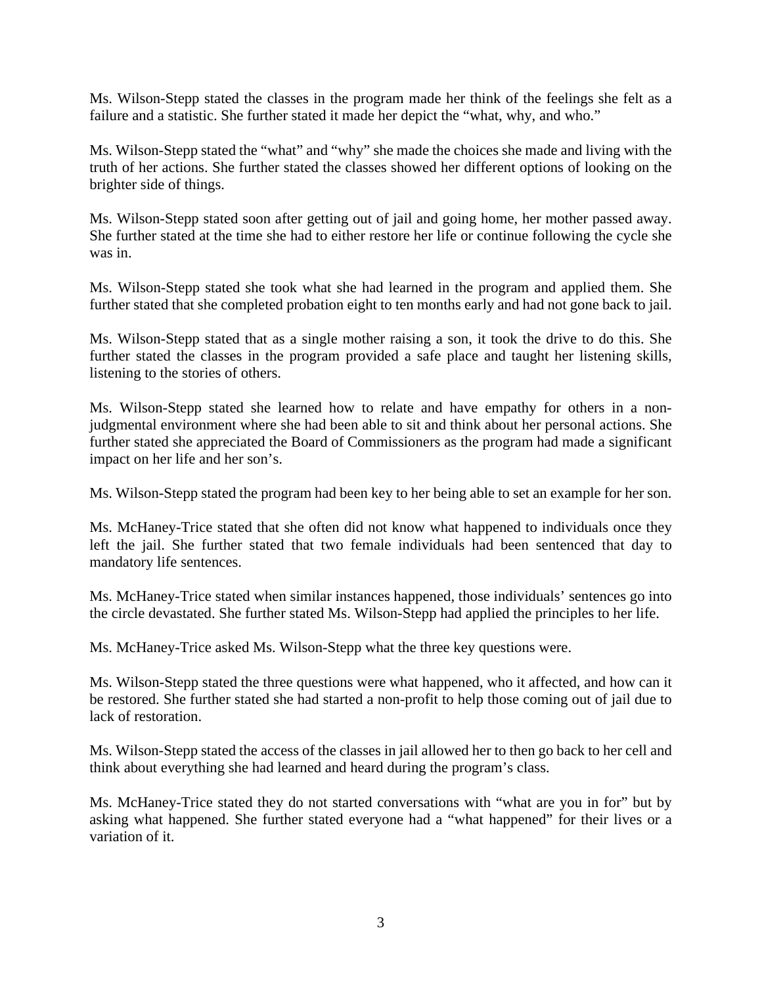Ms. Wilson-Stepp stated the classes in the program made her think of the feelings she felt as a failure and a statistic. She further stated it made her depict the "what, why, and who."

Ms. Wilson-Stepp stated the "what" and "why" she made the choices she made and living with the truth of her actions. She further stated the classes showed her different options of looking on the brighter side of things.

Ms. Wilson-Stepp stated soon after getting out of jail and going home, her mother passed away. She further stated at the time she had to either restore her life or continue following the cycle she was in.

Ms. Wilson-Stepp stated she took what she had learned in the program and applied them. She further stated that she completed probation eight to ten months early and had not gone back to jail.

Ms. Wilson-Stepp stated that as a single mother raising a son, it took the drive to do this. She further stated the classes in the program provided a safe place and taught her listening skills, listening to the stories of others.

Ms. Wilson-Stepp stated she learned how to relate and have empathy for others in a nonjudgmental environment where she had been able to sit and think about her personal actions. She further stated she appreciated the Board of Commissioners as the program had made a significant impact on her life and her son's.

Ms. Wilson-Stepp stated the program had been key to her being able to set an example for her son.

Ms. McHaney-Trice stated that she often did not know what happened to individuals once they left the jail. She further stated that two female individuals had been sentenced that day to mandatory life sentences.

Ms. McHaney-Trice stated when similar instances happened, those individuals' sentences go into the circle devastated. She further stated Ms. Wilson-Stepp had applied the principles to her life.

Ms. McHaney-Trice asked Ms. Wilson-Stepp what the three key questions were.

Ms. Wilson-Stepp stated the three questions were what happened, who it affected, and how can it be restored. She further stated she had started a non-profit to help those coming out of jail due to lack of restoration.

Ms. Wilson-Stepp stated the access of the classes in jail allowed her to then go back to her cell and think about everything she had learned and heard during the program's class.

Ms. McHaney-Trice stated they do not started conversations with "what are you in for" but by asking what happened. She further stated everyone had a "what happened" for their lives or a variation of it.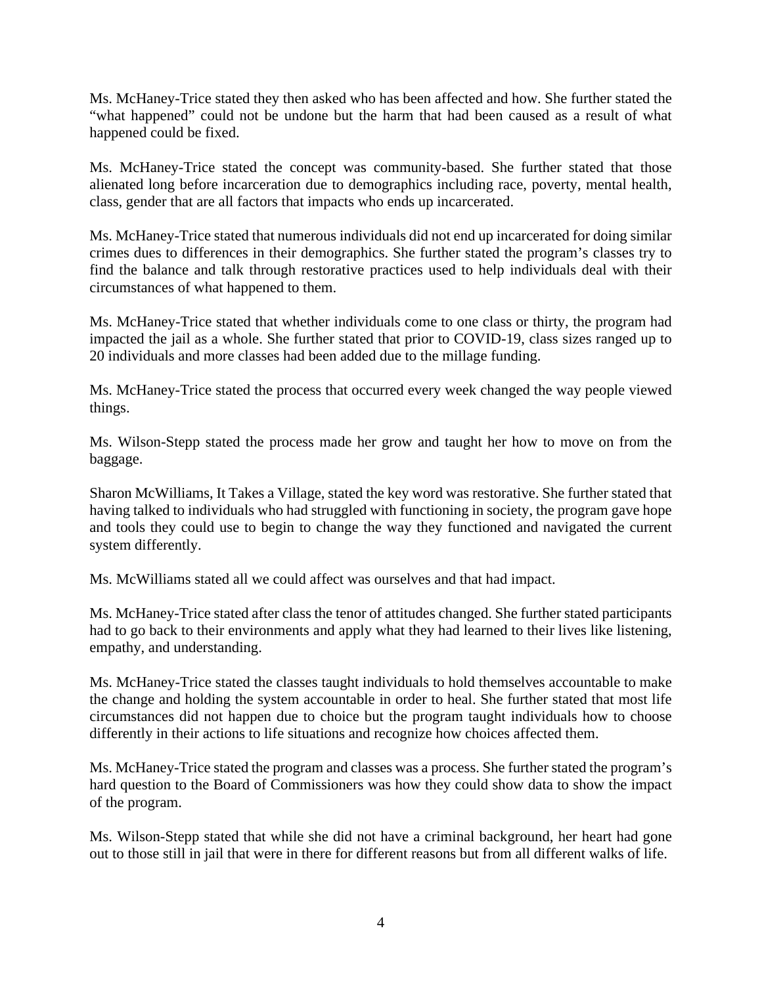Ms. McHaney-Trice stated they then asked who has been affected and how. She further stated the "what happened" could not be undone but the harm that had been caused as a result of what happened could be fixed.

Ms. McHaney-Trice stated the concept was community-based. She further stated that those alienated long before incarceration due to demographics including race, poverty, mental health, class, gender that are all factors that impacts who ends up incarcerated.

Ms. McHaney-Trice stated that numerous individuals did not end up incarcerated for doing similar crimes dues to differences in their demographics. She further stated the program's classes try to find the balance and talk through restorative practices used to help individuals deal with their circumstances of what happened to them.

Ms. McHaney-Trice stated that whether individuals come to one class or thirty, the program had impacted the jail as a whole. She further stated that prior to COVID-19, class sizes ranged up to 20 individuals and more classes had been added due to the millage funding.

Ms. McHaney-Trice stated the process that occurred every week changed the way people viewed things.

Ms. Wilson-Stepp stated the process made her grow and taught her how to move on from the baggage.

Sharon McWilliams, It Takes a Village, stated the key word was restorative. She further stated that having talked to individuals who had struggled with functioning in society, the program gave hope and tools they could use to begin to change the way they functioned and navigated the current system differently.

Ms. McWilliams stated all we could affect was ourselves and that had impact.

Ms. McHaney-Trice stated after class the tenor of attitudes changed. She further stated participants had to go back to their environments and apply what they had learned to their lives like listening, empathy, and understanding.

Ms. McHaney-Trice stated the classes taught individuals to hold themselves accountable to make the change and holding the system accountable in order to heal. She further stated that most life circumstances did not happen due to choice but the program taught individuals how to choose differently in their actions to life situations and recognize how choices affected them.

Ms. McHaney-Trice stated the program and classes was a process. She further stated the program's hard question to the Board of Commissioners was how they could show data to show the impact of the program.

Ms. Wilson-Stepp stated that while she did not have a criminal background, her heart had gone out to those still in jail that were in there for different reasons but from all different walks of life.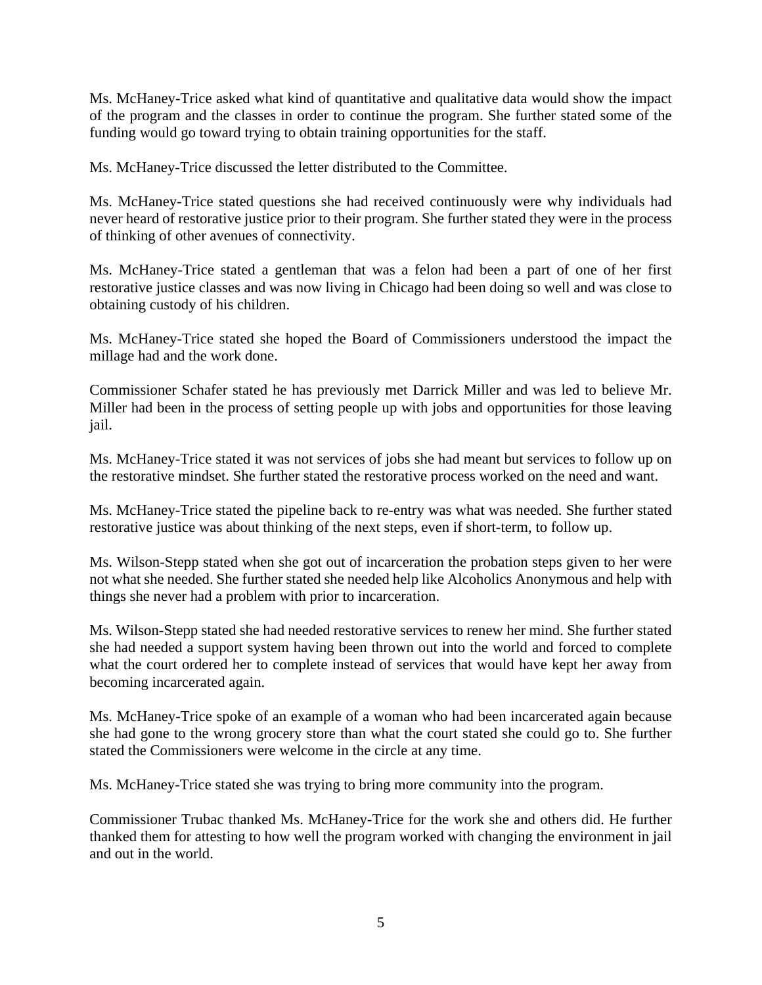Ms. McHaney-Trice asked what kind of quantitative and qualitative data would show the impact of the program and the classes in order to continue the program. She further stated some of the funding would go toward trying to obtain training opportunities for the staff.

Ms. McHaney-Trice discussed the letter distributed to the Committee.

Ms. McHaney-Trice stated questions she had received continuously were why individuals had never heard of restorative justice prior to their program. She further stated they were in the process of thinking of other avenues of connectivity.

Ms. McHaney-Trice stated a gentleman that was a felon had been a part of one of her first restorative justice classes and was now living in Chicago had been doing so well and was close to obtaining custody of his children.

Ms. McHaney-Trice stated she hoped the Board of Commissioners understood the impact the millage had and the work done.

Commissioner Schafer stated he has previously met Darrick Miller and was led to believe Mr. Miller had been in the process of setting people up with jobs and opportunities for those leaving jail.

Ms. McHaney-Trice stated it was not services of jobs she had meant but services to follow up on the restorative mindset. She further stated the restorative process worked on the need and want.

Ms. McHaney-Trice stated the pipeline back to re-entry was what was needed. She further stated restorative justice was about thinking of the next steps, even if short-term, to follow up.

Ms. Wilson-Stepp stated when she got out of incarceration the probation steps given to her were not what she needed. She further stated she needed help like Alcoholics Anonymous and help with things she never had a problem with prior to incarceration.

Ms. Wilson-Stepp stated she had needed restorative services to renew her mind. She further stated she had needed a support system having been thrown out into the world and forced to complete what the court ordered her to complete instead of services that would have kept her away from becoming incarcerated again.

Ms. McHaney-Trice spoke of an example of a woman who had been incarcerated again because she had gone to the wrong grocery store than what the court stated she could go to. She further stated the Commissioners were welcome in the circle at any time.

Ms. McHaney-Trice stated she was trying to bring more community into the program.

Commissioner Trubac thanked Ms. McHaney-Trice for the work she and others did. He further thanked them for attesting to how well the program worked with changing the environment in jail and out in the world.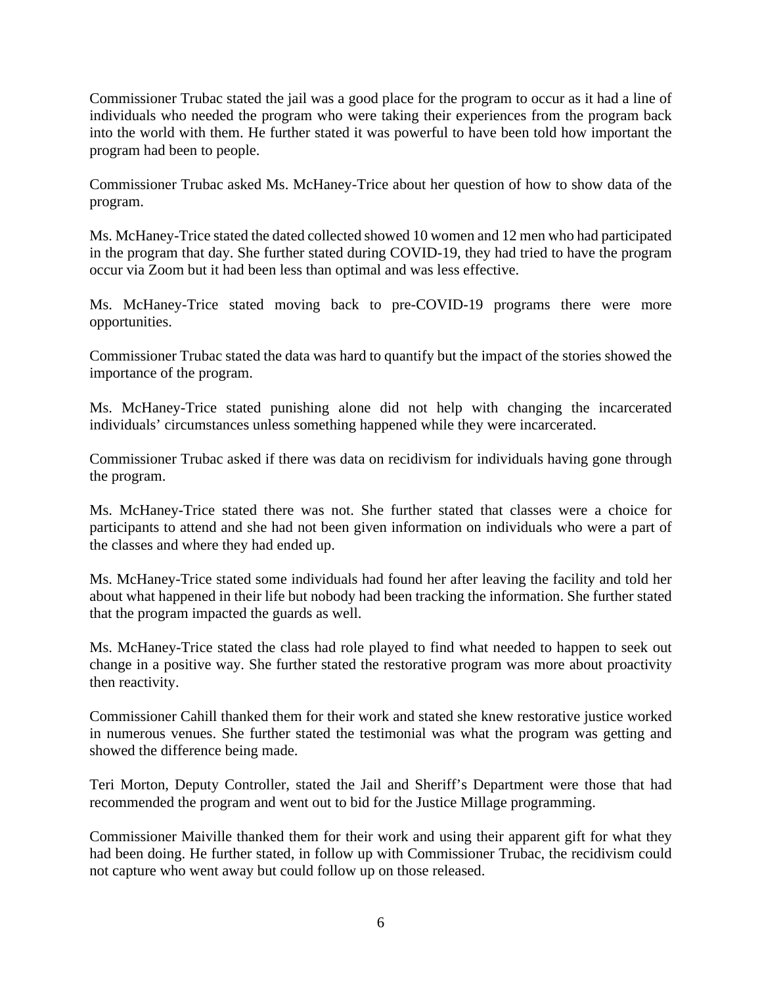Commissioner Trubac stated the jail was a good place for the program to occur as it had a line of individuals who needed the program who were taking their experiences from the program back into the world with them. He further stated it was powerful to have been told how important the program had been to people.

Commissioner Trubac asked Ms. McHaney-Trice about her question of how to show data of the program.

Ms. McHaney-Trice stated the dated collected showed 10 women and 12 men who had participated in the program that day. She further stated during COVID-19, they had tried to have the program occur via Zoom but it had been less than optimal and was less effective.

Ms. McHaney-Trice stated moving back to pre-COVID-19 programs there were more opportunities.

Commissioner Trubac stated the data was hard to quantify but the impact of the stories showed the importance of the program.

Ms. McHaney-Trice stated punishing alone did not help with changing the incarcerated individuals' circumstances unless something happened while they were incarcerated.

Commissioner Trubac asked if there was data on recidivism for individuals having gone through the program.

Ms. McHaney-Trice stated there was not. She further stated that classes were a choice for participants to attend and she had not been given information on individuals who were a part of the classes and where they had ended up.

Ms. McHaney-Trice stated some individuals had found her after leaving the facility and told her about what happened in their life but nobody had been tracking the information. She further stated that the program impacted the guards as well.

Ms. McHaney-Trice stated the class had role played to find what needed to happen to seek out change in a positive way. She further stated the restorative program was more about proactivity then reactivity.

Commissioner Cahill thanked them for their work and stated she knew restorative justice worked in numerous venues. She further stated the testimonial was what the program was getting and showed the difference being made.

Teri Morton, Deputy Controller, stated the Jail and Sheriff's Department were those that had recommended the program and went out to bid for the Justice Millage programming.

Commissioner Maiville thanked them for their work and using their apparent gift for what they had been doing. He further stated, in follow up with Commissioner Trubac, the recidivism could not capture who went away but could follow up on those released.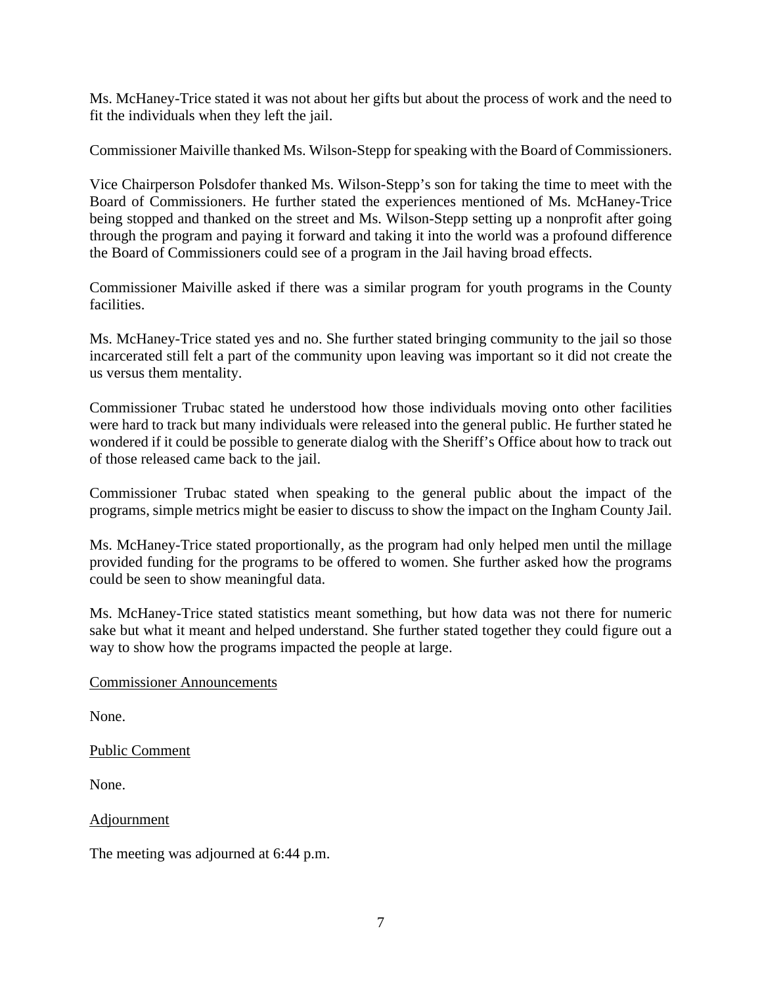Ms. McHaney-Trice stated it was not about her gifts but about the process of work and the need to fit the individuals when they left the jail.

Commissioner Maiville thanked Ms. Wilson-Stepp for speaking with the Board of Commissioners.

Vice Chairperson Polsdofer thanked Ms. Wilson-Stepp's son for taking the time to meet with the Board of Commissioners. He further stated the experiences mentioned of Ms. McHaney-Trice being stopped and thanked on the street and Ms. Wilson-Stepp setting up a nonprofit after going through the program and paying it forward and taking it into the world was a profound difference the Board of Commissioners could see of a program in the Jail having broad effects.

Commissioner Maiville asked if there was a similar program for youth programs in the County facilities.

Ms. McHaney-Trice stated yes and no. She further stated bringing community to the jail so those incarcerated still felt a part of the community upon leaving was important so it did not create the us versus them mentality.

Commissioner Trubac stated he understood how those individuals moving onto other facilities were hard to track but many individuals were released into the general public. He further stated he wondered if it could be possible to generate dialog with the Sheriff's Office about how to track out of those released came back to the jail.

Commissioner Trubac stated when speaking to the general public about the impact of the programs, simple metrics might be easier to discuss to show the impact on the Ingham County Jail.

Ms. McHaney-Trice stated proportionally, as the program had only helped men until the millage provided funding for the programs to be offered to women. She further asked how the programs could be seen to show meaningful data.

Ms. McHaney-Trice stated statistics meant something, but how data was not there for numeric sake but what it meant and helped understand. She further stated together they could figure out a way to show how the programs impacted the people at large.

### Commissioner Announcements

None.

Public Comment

None.

**Adjournment** 

The meeting was adjourned at 6:44 p.m.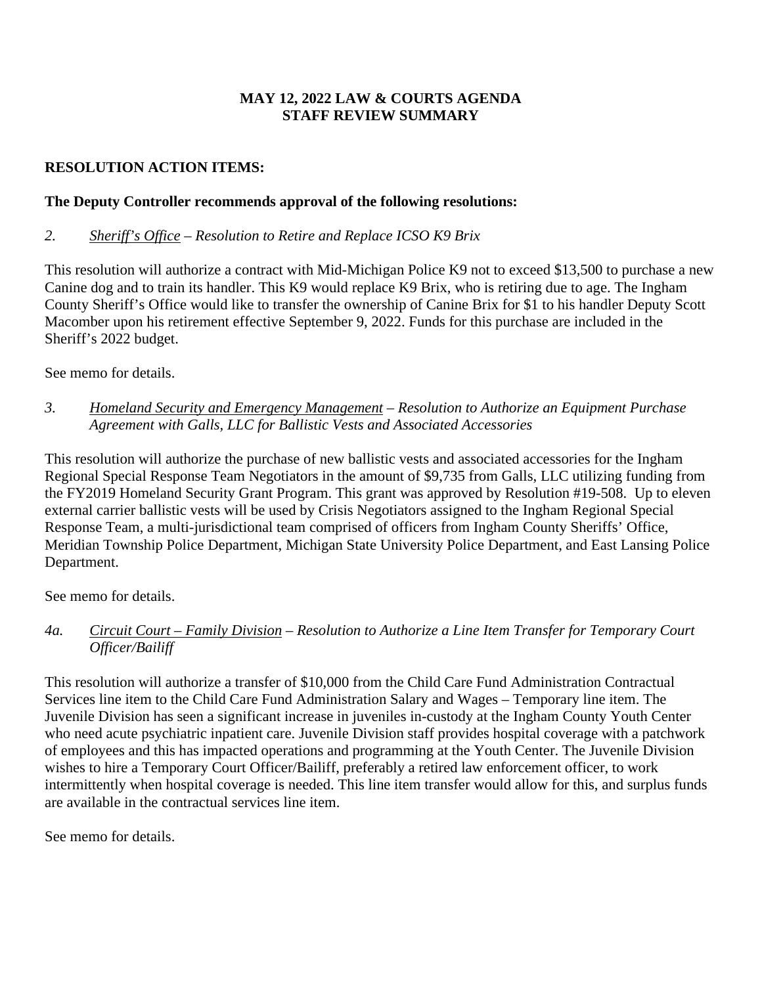## **MAY 12, 2022 LAW & COURTS AGENDA STAFF REVIEW SUMMARY**

# **RESOLUTION ACTION ITEMS:**

## **The Deputy Controller recommends approval of the following resolutions:**

## *2. Sheriff's Office – Resolution to Retire and Replace ICSO K9 Brix*

This resolution will authorize a contract with Mid-Michigan Police K9 not to exceed \$13,500 to purchase a new Canine dog and to train its handler. This K9 would replace K9 Brix, who is retiring due to age. The Ingham County Sheriff's Office would like to transfer the ownership of Canine Brix for \$1 to his handler Deputy Scott Macomber upon his retirement effective September 9, 2022. Funds for this purchase are included in the Sheriff's 2022 budget.

See memo for details.

*3. Homeland Security and Emergency Management – Resolution to Authorize an Equipment Purchase Agreement with Galls, LLC for Ballistic Vests and Associated Accessories* 

This resolution will authorize the purchase of new ballistic vests and associated accessories for the Ingham Regional Special Response Team Negotiators in the amount of \$9,735 from Galls, LLC utilizing funding from the FY2019 Homeland Security Grant Program. This grant was approved by Resolution #19-508. Up to eleven external carrier ballistic vests will be used by Crisis Negotiators assigned to the Ingham Regional Special Response Team, a multi-jurisdictional team comprised of officers from Ingham County Sheriffs' Office, Meridian Township Police Department, Michigan State University Police Department, and East Lansing Police Department.

See memo for details.

*4a. Circuit Court – Family Division* – *Resolution to Authorize a Line Item Transfer for Temporary Court Officer/Bailiff* 

This resolution will authorize a transfer of \$10,000 from the Child Care Fund Administration Contractual Services line item to the Child Care Fund Administration Salary and Wages – Temporary line item. The Juvenile Division has seen a significant increase in juveniles in-custody at the Ingham County Youth Center who need acute psychiatric inpatient care. Juvenile Division staff provides hospital coverage with a patchwork of employees and this has impacted operations and programming at the Youth Center. The Juvenile Division wishes to hire a Temporary Court Officer/Bailiff, preferably a retired law enforcement officer, to work intermittently when hospital coverage is needed. This line item transfer would allow for this, and surplus funds are available in the contractual services line item.

See memo for details.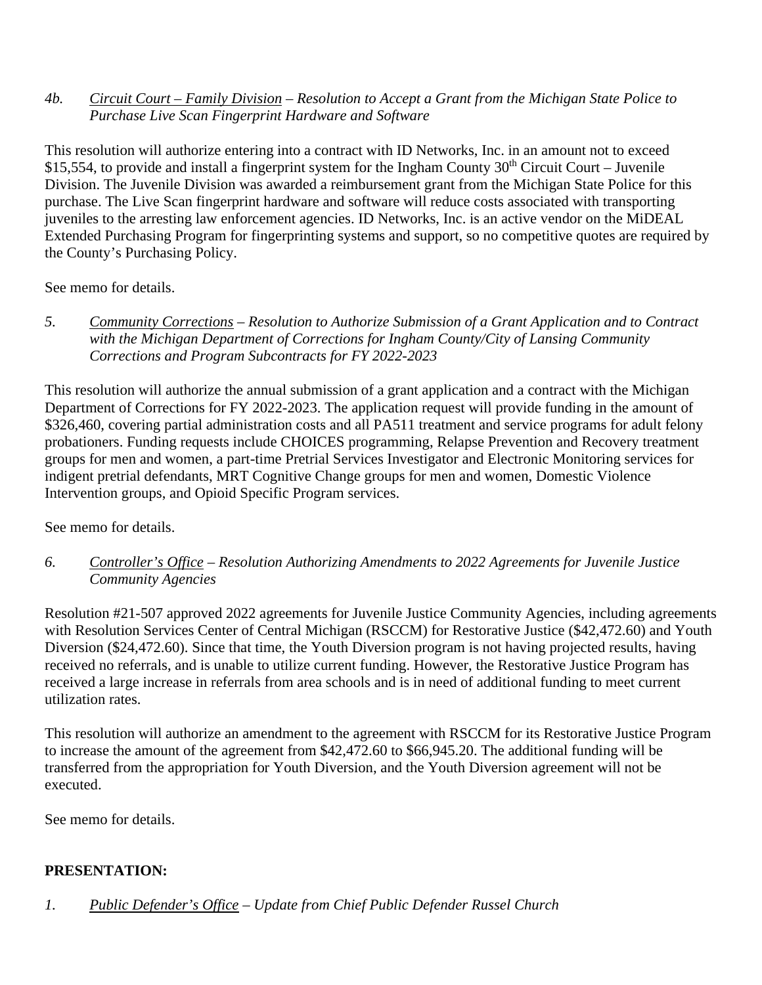## *4b. Circuit Court – Family Division* – *Resolution to Accept a Grant from the Michigan State Police to Purchase Live Scan Fingerprint Hardware and Software*

This resolution will authorize entering into a contract with ID Networks, Inc. in an amount not to exceed \$15,554, to provide and install a fingerprint system for the Ingham County  $30<sup>th</sup>$  Circuit Court – Juvenile Division. The Juvenile Division was awarded a reimbursement grant from the Michigan State Police for this purchase. The Live Scan fingerprint hardware and software will reduce costs associated with transporting juveniles to the arresting law enforcement agencies. ID Networks, Inc. is an active vendor on the MiDEAL Extended Purchasing Program for fingerprinting systems and support, so no competitive quotes are required by the County's Purchasing Policy.

See memo for details.

*5. Community Corrections – Resolution to Authorize Submission of a Grant Application and to Contract with the Michigan Department of Corrections for Ingham County/City of Lansing Community Corrections and Program Subcontracts for FY 2022-2023* 

This resolution will authorize the annual submission of a grant application and a contract with the Michigan Department of Corrections for FY 2022-2023. The application request will provide funding in the amount of \$326,460, covering partial administration costs and all PA511 treatment and service programs for adult felony probationers. Funding requests include CHOICES programming, Relapse Prevention and Recovery treatment groups for men and women, a part-time Pretrial Services Investigator and Electronic Monitoring services for indigent pretrial defendants, MRT Cognitive Change groups for men and women, Domestic Violence Intervention groups, and Opioid Specific Program services.

See memo for details.

*6. Controller's Office* – *Resolution Authorizing Amendments to 2022 Agreements for Juvenile Justice Community Agencies*

Resolution #21-507 approved 2022 agreements for Juvenile Justice Community Agencies, including agreements with Resolution Services Center of Central Michigan (RSCCM) for Restorative Justice (\$42,472.60) and Youth Diversion (\$24,472.60). Since that time, the Youth Diversion program is not having projected results, having received no referrals, and is unable to utilize current funding. However, the Restorative Justice Program has received a large increase in referrals from area schools and is in need of additional funding to meet current utilization rates.

This resolution will authorize an amendment to the agreement with RSCCM for its Restorative Justice Program to increase the amount of the agreement from \$42,472.60 to \$66,945.20. The additional funding will be transferred from the appropriation for Youth Diversion, and the Youth Diversion agreement will not be executed.

See memo for details.

# **PRESENTATION:**

*1. Public Defender's Office* – *Update from Chief Public Defender Russel Church*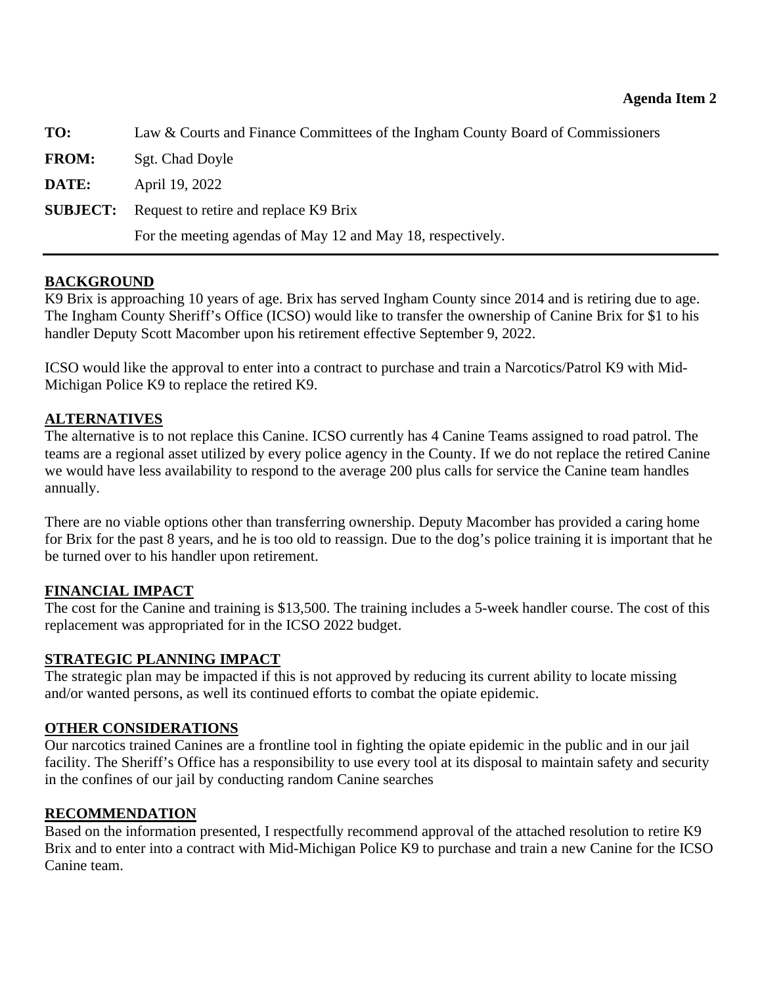<span id="page-10-0"></span>

| TO:          | Law & Courts and Finance Committees of the Ingham County Board of Commissioners |
|--------------|---------------------------------------------------------------------------------|
| <b>FROM:</b> | Sgt. Chad Doyle                                                                 |
| DATE:        | April 19, 2022                                                                  |
|              | <b>SUBJECT:</b> Request to retire and replace K9 Brix                           |
|              | For the meeting agendas of May 12 and May 18, respectively.                     |

## **BACKGROUND**

K9 Brix is approaching 10 years of age. Brix has served Ingham County since 2014 and is retiring due to age. The Ingham County Sheriff's Office (ICSO) would like to transfer the ownership of Canine Brix for \$1 to his handler Deputy Scott Macomber upon his retirement effective September 9, 2022.

ICSO would like the approval to enter into a contract to purchase and train a Narcotics/Patrol K9 with Mid-Michigan Police K9 to replace the retired K9.

## **ALTERNATIVES**

The alternative is to not replace this Canine. ICSO currently has 4 Canine Teams assigned to road patrol. The teams are a regional asset utilized by every police agency in the County. If we do not replace the retired Canine we would have less availability to respond to the average 200 plus calls for service the Canine team handles annually.

There are no viable options other than transferring ownership. Deputy Macomber has provided a caring home for Brix for the past 8 years, and he is too old to reassign. Due to the dog's police training it is important that he be turned over to his handler upon retirement.

## **FINANCIAL IMPACT**

The cost for the Canine and training is \$13,500. The training includes a 5-week handler course. The cost of this replacement was appropriated for in the ICSO 2022 budget.

## **STRATEGIC PLANNING IMPACT**

The strategic plan may be impacted if this is not approved by reducing its current ability to locate missing and/or wanted persons, as well its continued efforts to combat the opiate epidemic.

## **OTHER CONSIDERATIONS**

Our narcotics trained Canines are a frontline tool in fighting the opiate epidemic in the public and in our jail facility. The Sheriff's Office has a responsibility to use every tool at its disposal to maintain safety and security in the confines of our jail by conducting random Canine searches

## **RECOMMENDATION**

Based on the information presented, I respectfully recommend approval of the attached resolution to retire K9 Brix and to enter into a contract with Mid-Michigan Police K9 to purchase and train a new Canine for the ICSO Canine team.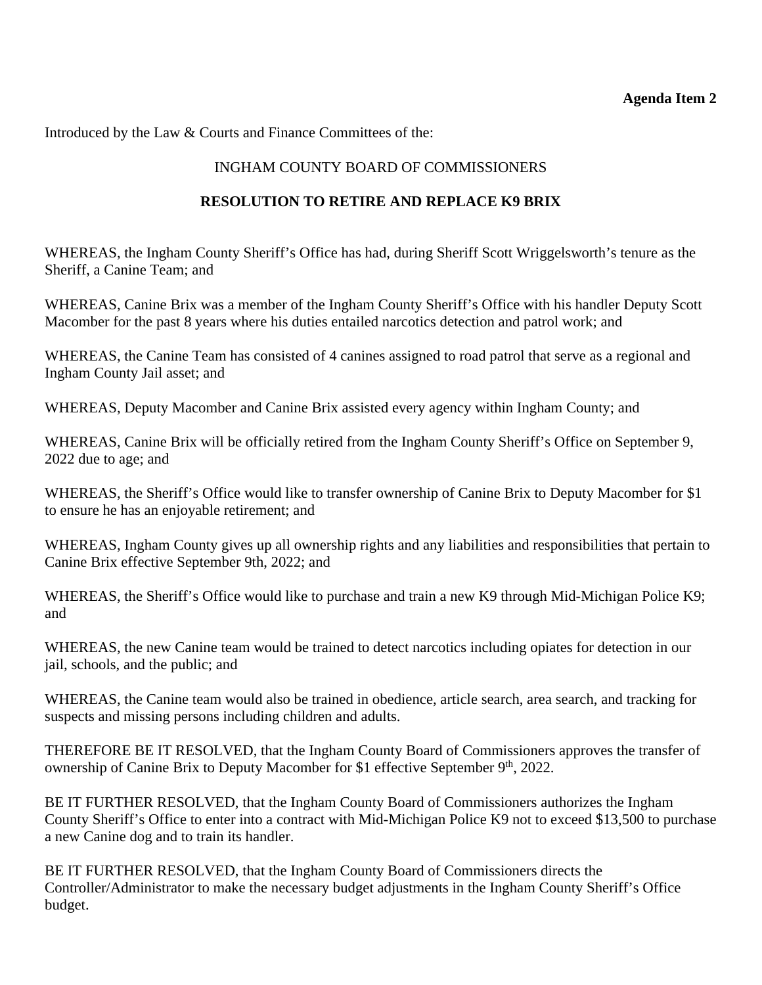## **Agenda Item 2**

Introduced by the Law & Courts and Finance Committees of the:

## INGHAM COUNTY BOARD OF COMMISSIONERS

## **RESOLUTION TO RETIRE AND REPLACE K9 BRIX**

WHEREAS, the Ingham County Sheriff's Office has had, during Sheriff Scott Wriggelsworth's tenure as the Sheriff, a Canine Team; and

WHEREAS, Canine Brix was a member of the Ingham County Sheriff's Office with his handler Deputy Scott Macomber for the past 8 years where his duties entailed narcotics detection and patrol work; and

WHEREAS, the Canine Team has consisted of 4 canines assigned to road patrol that serve as a regional and Ingham County Jail asset; and

WHEREAS, Deputy Macomber and Canine Brix assisted every agency within Ingham County; and

WHEREAS, Canine Brix will be officially retired from the Ingham County Sheriff's Office on September 9, 2022 due to age; and

WHEREAS, the Sheriff's Office would like to transfer ownership of Canine Brix to Deputy Macomber for \$1 to ensure he has an enjoyable retirement; and

WHEREAS, Ingham County gives up all ownership rights and any liabilities and responsibilities that pertain to Canine Brix effective September 9th, 2022; and

WHEREAS, the Sheriff's Office would like to purchase and train a new K9 through Mid-Michigan Police K9; and

WHEREAS, the new Canine team would be trained to detect narcotics including opiates for detection in our jail, schools, and the public; and

WHEREAS, the Canine team would also be trained in obedience, article search, area search, and tracking for suspects and missing persons including children and adults.

THEREFORE BE IT RESOLVED, that the Ingham County Board of Commissioners approves the transfer of ownership of Canine Brix to Deputy Macomber for \$1 effective September 9<sup>th</sup>, 2022.

BE IT FURTHER RESOLVED, that the Ingham County Board of Commissioners authorizes the Ingham County Sheriff's Office to enter into a contract with Mid-Michigan Police K9 not to exceed \$13,500 to purchase a new Canine dog and to train its handler.

BE IT FURTHER RESOLVED, that the Ingham County Board of Commissioners directs the Controller/Administrator to make the necessary budget adjustments in the Ingham County Sheriff's Office budget.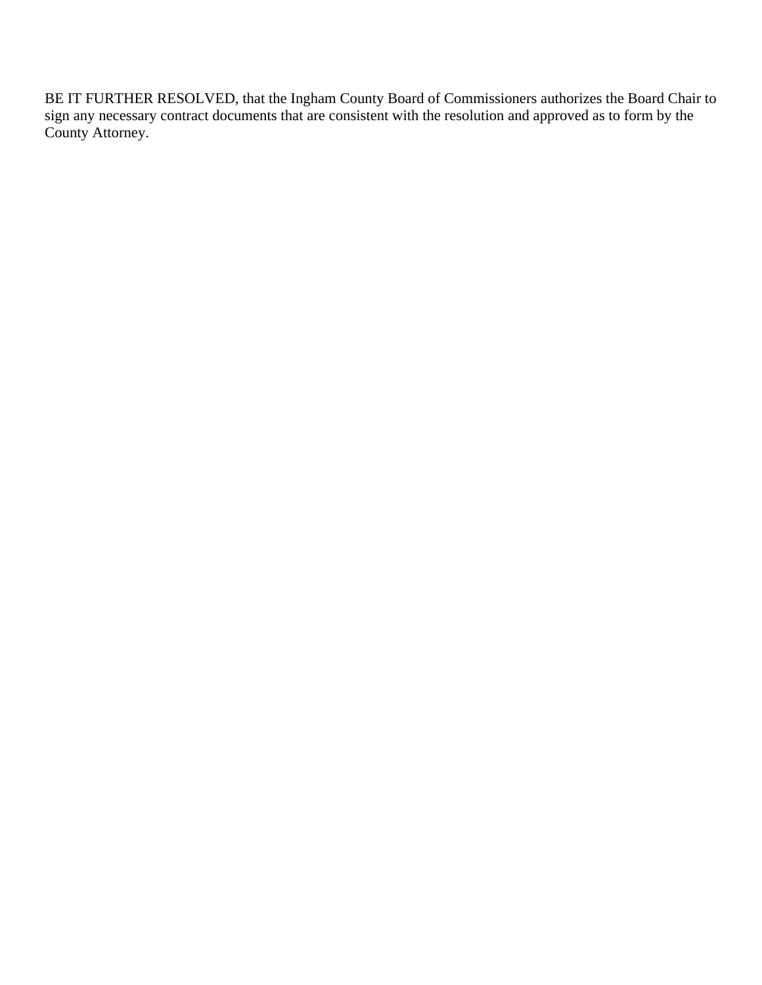BE IT FURTHER RESOLVED, that the Ingham County Board of Commissioners authorizes the Board Chair to sign any necessary contract documents that are consistent with the resolution and approved as to form by the County Attorney.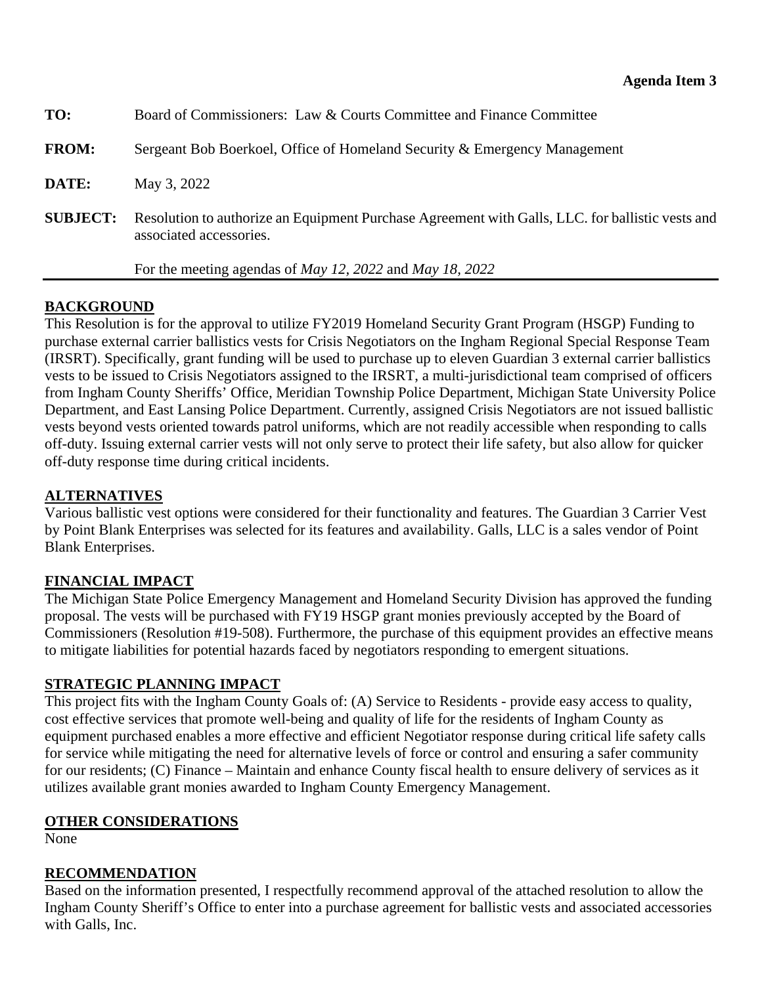<span id="page-13-0"></span>

| TO:             | Board of Commissioners: Law & Courts Committee and Finance Committee                                                        |
|-----------------|-----------------------------------------------------------------------------------------------------------------------------|
| <b>FROM:</b>    | Sergeant Bob Boerkoel, Office of Homeland Security & Emergency Management                                                   |
| DATE:           | May 3, 2022                                                                                                                 |
| <b>SUBJECT:</b> | Resolution to authorize an Equipment Purchase Agreement with Galls, LLC. for ballistic vests and<br>associated accessories. |
|                 | For the meeting agendas of <i>May 12</i> , 2022 and <i>May 18</i> , 2022                                                    |

# **BACKGROUND**

This Resolution is for the approval to utilize FY2019 Homeland Security Grant Program (HSGP) Funding to purchase external carrier ballistics vests for Crisis Negotiators on the Ingham Regional Special Response Team (IRSRT). Specifically, grant funding will be used to purchase up to eleven Guardian 3 external carrier ballistics vests to be issued to Crisis Negotiators assigned to the IRSRT, a multi-jurisdictional team comprised of officers from Ingham County Sheriffs' Office, Meridian Township Police Department, Michigan State University Police Department, and East Lansing Police Department. Currently, assigned Crisis Negotiators are not issued ballistic vests beyond vests oriented towards patrol uniforms, which are not readily accessible when responding to calls off-duty. Issuing external carrier vests will not only serve to protect their life safety, but also allow for quicker off-duty response time during critical incidents.

## **ALTERNATIVES**

Various ballistic vest options were considered for their functionality and features. The Guardian 3 Carrier Vest by Point Blank Enterprises was selected for its features and availability. Galls, LLC is a sales vendor of Point Blank Enterprises.

# **FINANCIAL IMPACT**

The Michigan State Police Emergency Management and Homeland Security Division has approved the funding proposal. The vests will be purchased with FY19 HSGP grant monies previously accepted by the Board of Commissioners (Resolution #19-508). Furthermore, the purchase of this equipment provides an effective means to mitigate liabilities for potential hazards faced by negotiators responding to emergent situations.

## **STRATEGIC PLANNING IMPACT**

This project fits with the Ingham County Goals of: (A) Service to Residents - provide easy access to quality, cost effective services that promote well-being and quality of life for the residents of Ingham County as equipment purchased enables a more effective and efficient Negotiator response during critical life safety calls for service while mitigating the need for alternative levels of force or control and ensuring a safer community for our residents; (C) Finance – Maintain and enhance County fiscal health to ensure delivery of services as it utilizes available grant monies awarded to Ingham County Emergency Management.

## **OTHER CONSIDERATIONS**

None

## **RECOMMENDATION**

Based on the information presented, I respectfully recommend approval of the attached resolution to allow the Ingham County Sheriff's Office to enter into a purchase agreement for ballistic vests and associated accessories with Galls, Inc.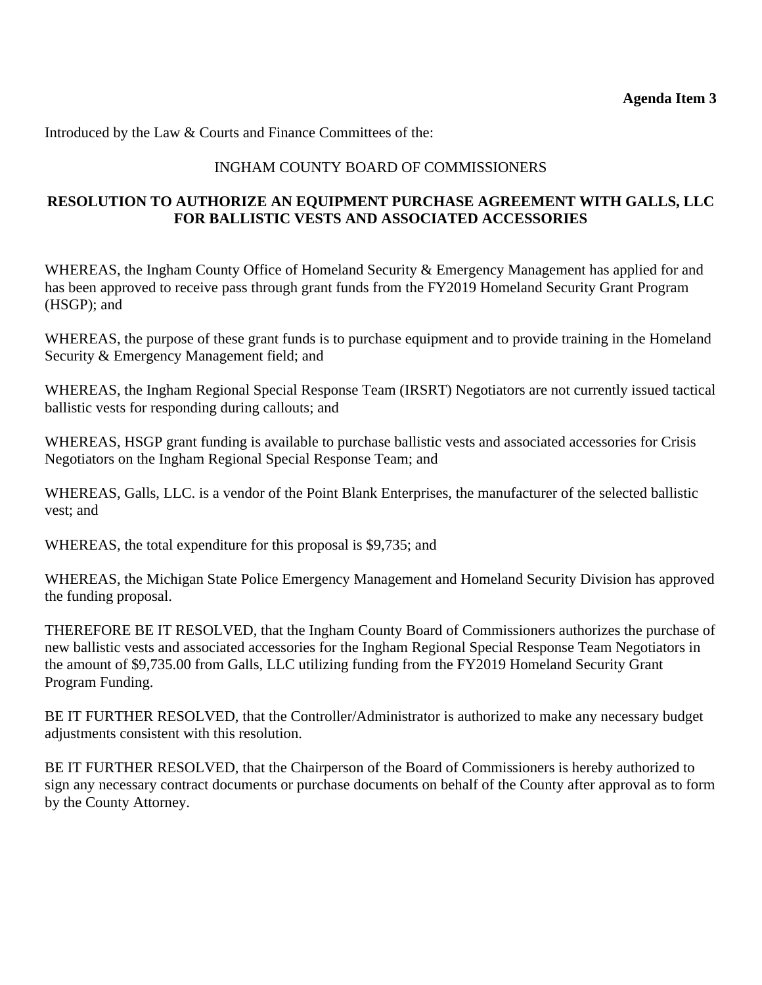Introduced by the Law & Courts and Finance Committees of the:

## INGHAM COUNTY BOARD OF COMMISSIONERS

## **RESOLUTION TO AUTHORIZE AN EQUIPMENT PURCHASE AGREEMENT WITH GALLS, LLC FOR BALLISTIC VESTS AND ASSOCIATED ACCESSORIES**

WHEREAS, the Ingham County Office of Homeland Security & Emergency Management has applied for and has been approved to receive pass through grant funds from the FY2019 Homeland Security Grant Program (HSGP); and

WHEREAS, the purpose of these grant funds is to purchase equipment and to provide training in the Homeland Security & Emergency Management field; and

WHEREAS, the Ingham Regional Special Response Team (IRSRT) Negotiators are not currently issued tactical ballistic vests for responding during callouts; and

WHEREAS, HSGP grant funding is available to purchase ballistic vests and associated accessories for Crisis Negotiators on the Ingham Regional Special Response Team; and

WHEREAS, Galls, LLC. is a vendor of the Point Blank Enterprises, the manufacturer of the selected ballistic vest; and

WHEREAS, the total expenditure for this proposal is \$9,735; and

WHEREAS, the Michigan State Police Emergency Management and Homeland Security Division has approved the funding proposal.

THEREFORE BE IT RESOLVED, that the Ingham County Board of Commissioners authorizes the purchase of new ballistic vests and associated accessories for the Ingham Regional Special Response Team Negotiators in the amount of \$9,735.00 from Galls, LLC utilizing funding from the FY2019 Homeland Security Grant Program Funding.

BE IT FURTHER RESOLVED, that the Controller/Administrator is authorized to make any necessary budget adjustments consistent with this resolution.

BE IT FURTHER RESOLVED, that the Chairperson of the Board of Commissioners is hereby authorized to sign any necessary contract documents or purchase documents on behalf of the County after approval as to form by the County Attorney.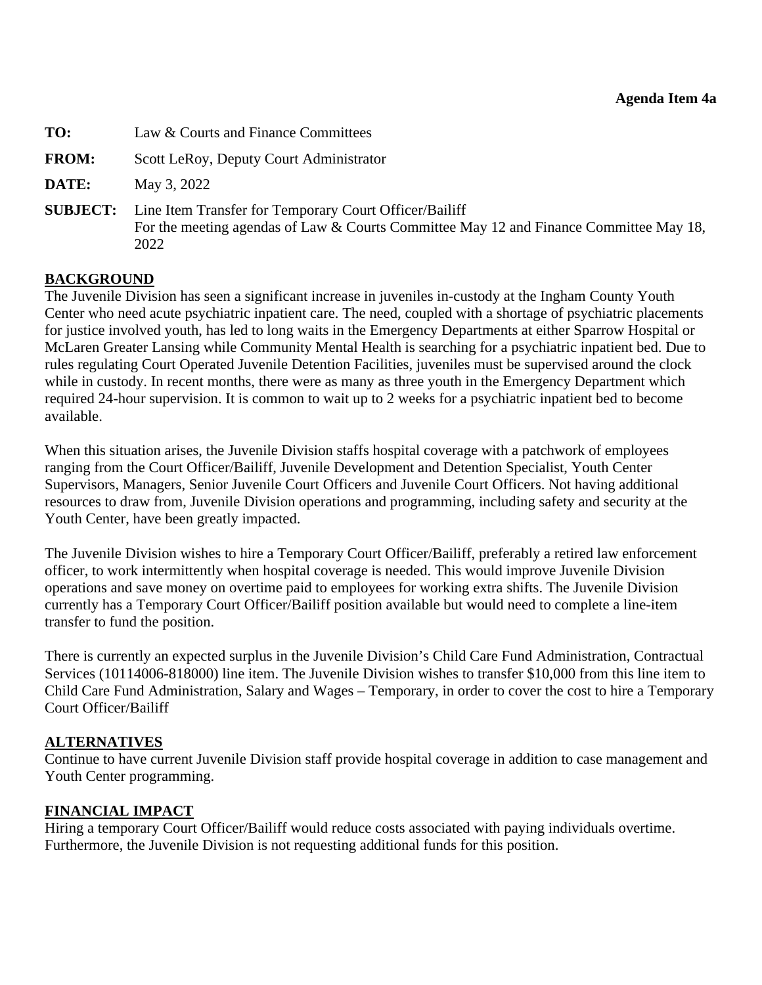<span id="page-15-0"></span>

| TO:          | Law & Courts and Finance Committees                                                                                                                                      |
|--------------|--------------------------------------------------------------------------------------------------------------------------------------------------------------------------|
| <b>FROM:</b> | Scott LeRoy, Deputy Court Administrator                                                                                                                                  |
| DATE:        | May 3, 2022                                                                                                                                                              |
|              | <b>SUBJECT:</b> Line Item Transfer for Temporary Court Officer/Bailiff<br>For the meeting agendas of Law & Courts Committee May 12 and Finance Committee May 18,<br>2022 |

## **BACKGROUND**

The Juvenile Division has seen a significant increase in juveniles in-custody at the Ingham County Youth Center who need acute psychiatric inpatient care. The need, coupled with a shortage of psychiatric placements for justice involved youth, has led to long waits in the Emergency Departments at either Sparrow Hospital or McLaren Greater Lansing while Community Mental Health is searching for a psychiatric inpatient bed. Due to rules regulating Court Operated Juvenile Detention Facilities, juveniles must be supervised around the clock while in custody. In recent months, there were as many as three youth in the Emergency Department which required 24-hour supervision. It is common to wait up to 2 weeks for a psychiatric inpatient bed to become available.

When this situation arises, the Juvenile Division staffs hospital coverage with a patchwork of employees ranging from the Court Officer/Bailiff, Juvenile Development and Detention Specialist, Youth Center Supervisors, Managers, Senior Juvenile Court Officers and Juvenile Court Officers. Not having additional resources to draw from, Juvenile Division operations and programming, including safety and security at the Youth Center, have been greatly impacted.

The Juvenile Division wishes to hire a Temporary Court Officer/Bailiff, preferably a retired law enforcement officer, to work intermittently when hospital coverage is needed. This would improve Juvenile Division operations and save money on overtime paid to employees for working extra shifts. The Juvenile Division currently has a Temporary Court Officer/Bailiff position available but would need to complete a line-item transfer to fund the position.

There is currently an expected surplus in the Juvenile Division's Child Care Fund Administration, Contractual Services (10114006-818000) line item. The Juvenile Division wishes to transfer \$10,000 from this line item to Child Care Fund Administration, Salary and Wages – Temporary, in order to cover the cost to hire a Temporary Court Officer/Bailiff

## **ALTERNATIVES**

Continue to have current Juvenile Division staff provide hospital coverage in addition to case management and Youth Center programming.

## **FINANCIAL IMPACT**

Hiring a temporary Court Officer/Bailiff would reduce costs associated with paying individuals overtime. Furthermore, the Juvenile Division is not requesting additional funds for this position.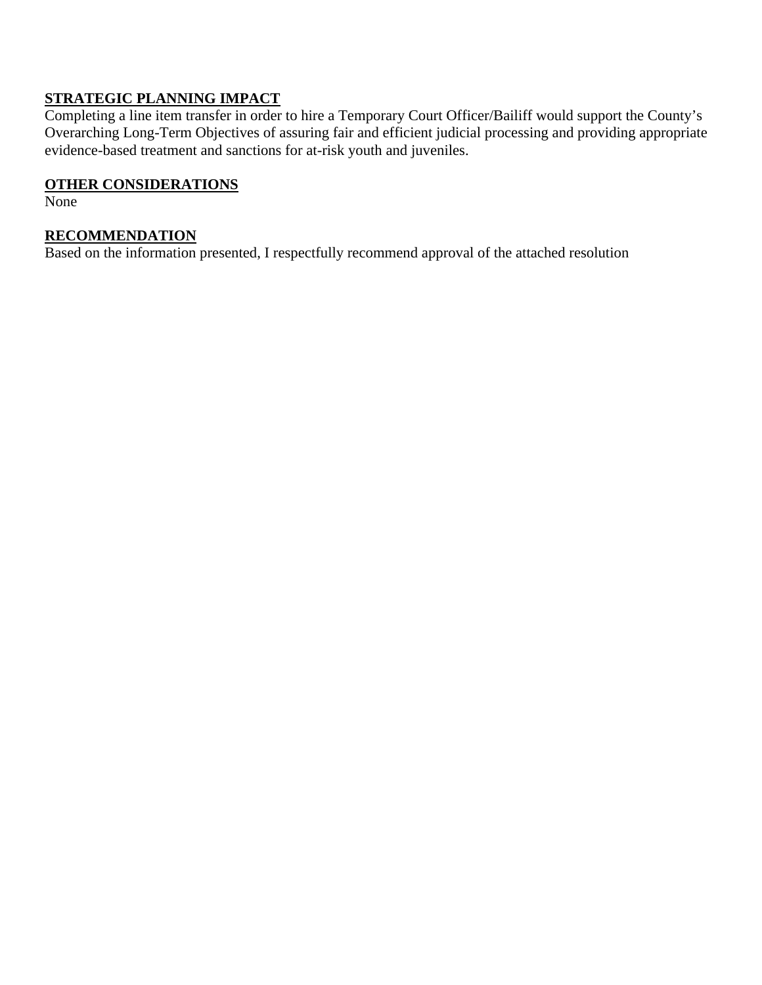# **STRATEGIC PLANNING IMPACT**

Completing a line item transfer in order to hire a Temporary Court Officer/Bailiff would support the County's Overarching Long-Term Objectives of assuring fair and efficient judicial processing and providing appropriate evidence-based treatment and sanctions for at-risk youth and juveniles.

### **OTHER CONSIDERATIONS**

None

## **RECOMMENDATION**

Based on the information presented, I respectfully recommend approval of the attached resolution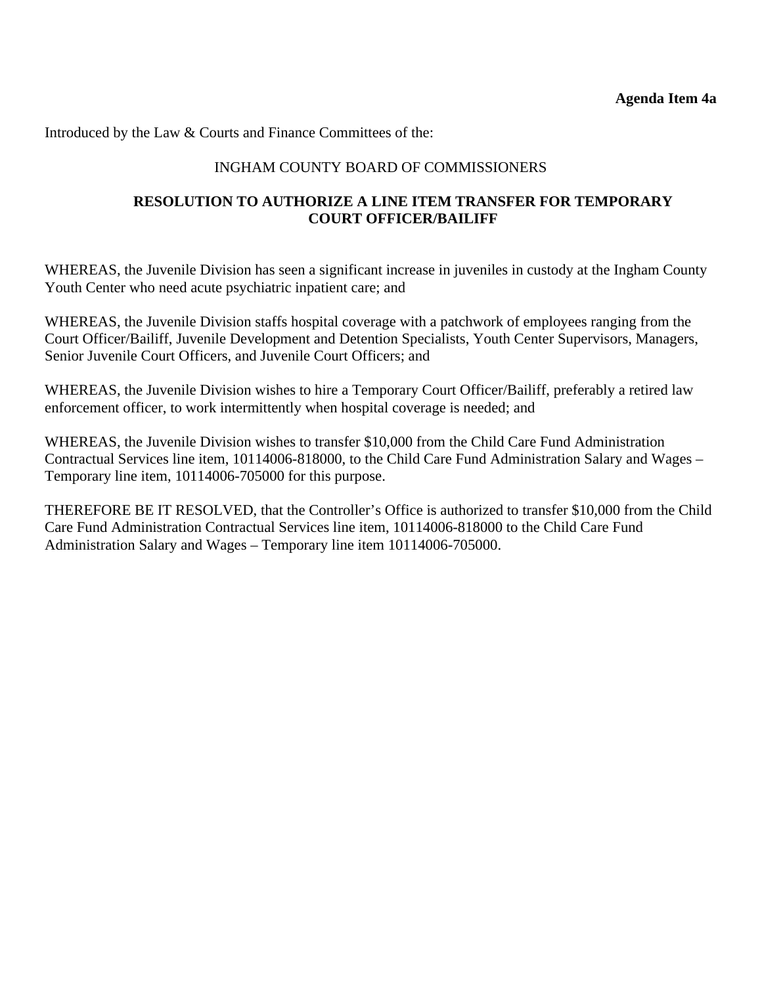Introduced by the Law & Courts and Finance Committees of the:

## INGHAM COUNTY BOARD OF COMMISSIONERS

## **RESOLUTION TO AUTHORIZE A LINE ITEM TRANSFER FOR TEMPORARY COURT OFFICER/BAILIFF**

WHEREAS, the Juvenile Division has seen a significant increase in juveniles in custody at the Ingham County Youth Center who need acute psychiatric inpatient care; and

WHEREAS, the Juvenile Division staffs hospital coverage with a patchwork of employees ranging from the Court Officer/Bailiff, Juvenile Development and Detention Specialists, Youth Center Supervisors, Managers, Senior Juvenile Court Officers, and Juvenile Court Officers; and

WHEREAS, the Juvenile Division wishes to hire a Temporary Court Officer/Bailiff, preferably a retired law enforcement officer, to work intermittently when hospital coverage is needed; and

WHEREAS, the Juvenile Division wishes to transfer \$10,000 from the Child Care Fund Administration Contractual Services line item, 10114006-818000, to the Child Care Fund Administration Salary and Wages – Temporary line item, 10114006-705000 for this purpose.

THEREFORE BE IT RESOLVED, that the Controller's Office is authorized to transfer \$10,000 from the Child Care Fund Administration Contractual Services line item, 10114006-818000 to the Child Care Fund Administration Salary and Wages – Temporary line item 10114006-705000.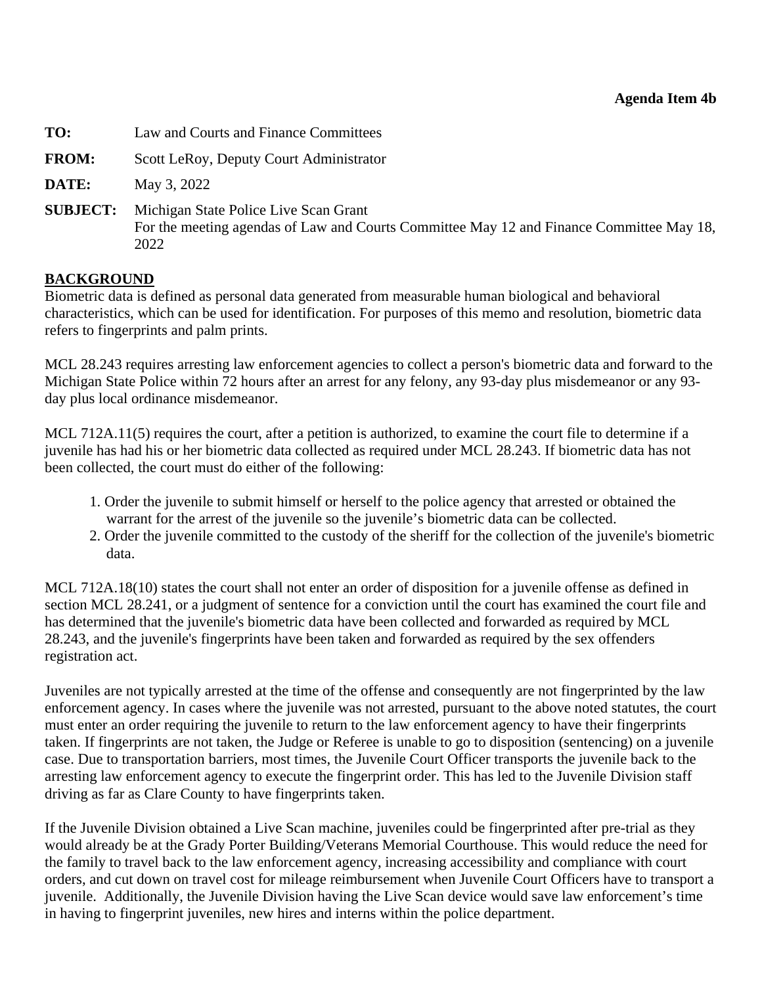<span id="page-18-0"></span>

| TO:             | Law and Courts and Finance Committees                                                                                                     |
|-----------------|-------------------------------------------------------------------------------------------------------------------------------------------|
| <b>FROM:</b>    | Scott LeRoy, Deputy Court Administrator                                                                                                   |
| DATE:           | May 3, 2022                                                                                                                               |
| <b>SUBJECT:</b> | Michigan State Police Live Scan Grant<br>For the meeting agendas of Law and Courts Committee May 12 and Finance Committee May 18,<br>2022 |

## **BACKGROUND**

Biometric data is defined as personal data generated from measurable human biological and behavioral characteristics, which can be used for identification. For purposes of this memo and resolution, biometric data refers to fingerprints and palm prints.

MCL 28.243 requires arresting law enforcement agencies to collect a person's biometric data and forward to the Michigan State Police within 72 hours after an arrest for any felony, any 93-day plus misdemeanor or any 93 day plus local ordinance misdemeanor.

MCL 712A.11(5) requires the court, after a petition is authorized, to examine the court file to determine if a juvenile has had his or her biometric data collected as required under MCL 28.243. If biometric data has not been collected, the court must do either of the following:

- 1. Order the juvenile to submit himself or herself to the police agency that arrested or obtained the warrant for the arrest of the juvenile so the juvenile's biometric data can be collected.
- 2. Order the juvenile committed to the custody of the sheriff for the collection of the juvenile's biometric data.

MCL 712A.18(10) states the court shall not enter an order of disposition for a juvenile offense as defined in section MCL 28.241, or a judgment of sentence for a conviction until the court has examined the court file and has determined that the juvenile's biometric data have been collected and forwarded as required by MCL 28.243, and the juvenile's fingerprints have been taken and forwarded as required by the sex offenders registration act.

Juveniles are not typically arrested at the time of the offense and consequently are not fingerprinted by the law enforcement agency. In cases where the juvenile was not arrested, pursuant to the above noted statutes, the court must enter an order requiring the juvenile to return to the law enforcement agency to have their fingerprints taken. If fingerprints are not taken, the Judge or Referee is unable to go to disposition (sentencing) on a juvenile case. Due to transportation barriers, most times, the Juvenile Court Officer transports the juvenile back to the arresting law enforcement agency to execute the fingerprint order. This has led to the Juvenile Division staff driving as far as Clare County to have fingerprints taken.

If the Juvenile Division obtained a Live Scan machine, juveniles could be fingerprinted after pre-trial as they would already be at the Grady Porter Building/Veterans Memorial Courthouse. This would reduce the need for the family to travel back to the law enforcement agency, increasing accessibility and compliance with court orders, and cut down on travel cost for mileage reimbursement when Juvenile Court Officers have to transport a juvenile. Additionally, the Juvenile Division having the Live Scan device would save law enforcement's time in having to fingerprint juveniles, new hires and interns within the police department.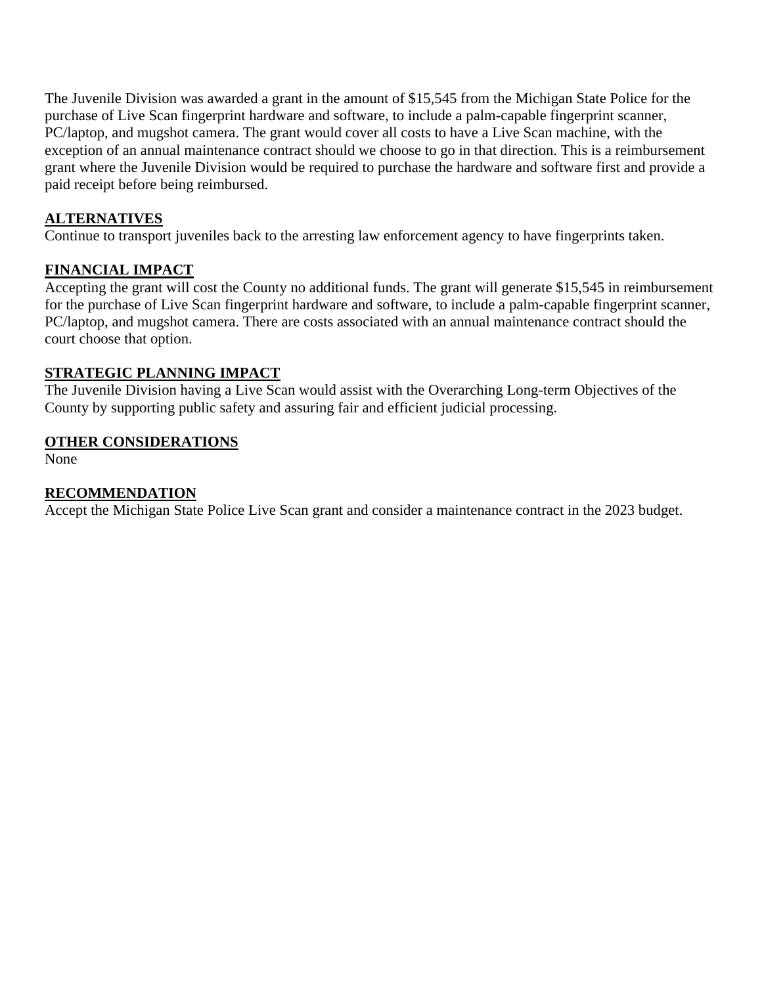The Juvenile Division was awarded a grant in the amount of \$15,545 from the Michigan State Police for the purchase of Live Scan fingerprint hardware and software, to include a palm-capable fingerprint scanner, PC/laptop, and mugshot camera. The grant would cover all costs to have a Live Scan machine, with the exception of an annual maintenance contract should we choose to go in that direction. This is a reimbursement grant where the Juvenile Division would be required to purchase the hardware and software first and provide a paid receipt before being reimbursed.

## **ALTERNATIVES**

Continue to transport juveniles back to the arresting law enforcement agency to have fingerprints taken.

## **FINANCIAL IMPACT**

Accepting the grant will cost the County no additional funds. The grant will generate \$15,545 in reimbursement for the purchase of Live Scan fingerprint hardware and software, to include a palm-capable fingerprint scanner, PC/laptop, and mugshot camera. There are costs associated with an annual maintenance contract should the court choose that option.

## **STRATEGIC PLANNING IMPACT**

The Juvenile Division having a Live Scan would assist with the Overarching Long-term Objectives of the County by supporting public safety and assuring fair and efficient judicial processing.

## **OTHER CONSIDERATIONS**

None

## **RECOMMENDATION**

Accept the Michigan State Police Live Scan grant and consider a maintenance contract in the 2023 budget.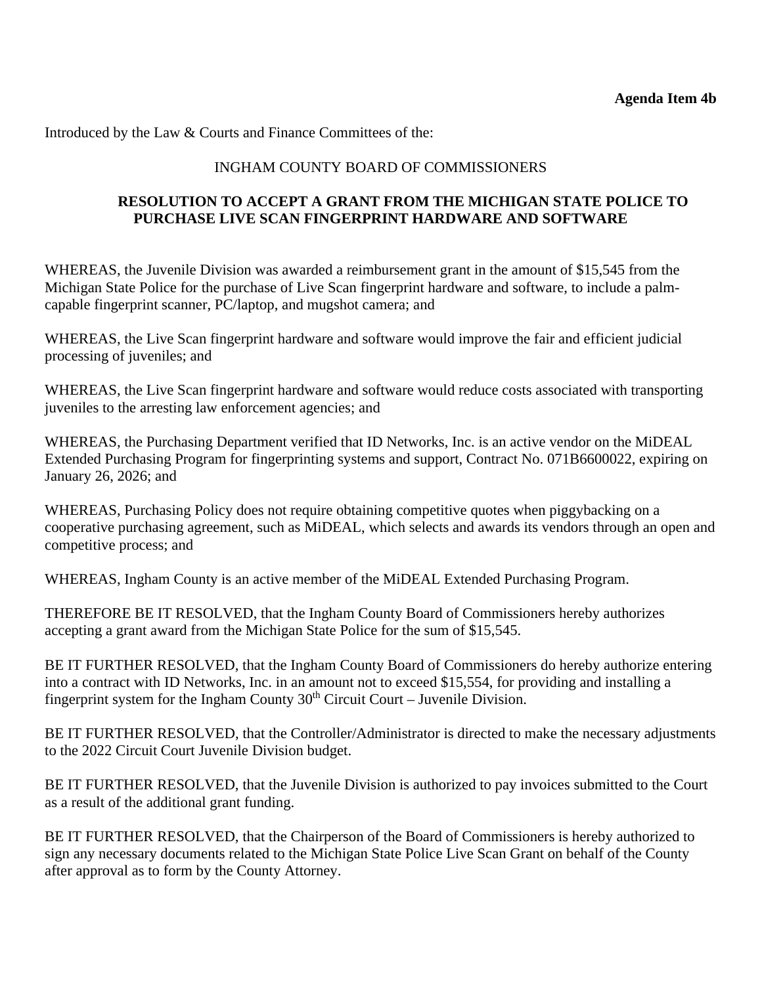Introduced by the Law & Courts and Finance Committees of the:

## INGHAM COUNTY BOARD OF COMMISSIONERS

## **RESOLUTION TO ACCEPT A GRANT FROM THE MICHIGAN STATE POLICE TO PURCHASE LIVE SCAN FINGERPRINT HARDWARE AND SOFTWARE**

WHEREAS, the Juvenile Division was awarded a reimbursement grant in the amount of \$15,545 from the Michigan State Police for the purchase of Live Scan fingerprint hardware and software, to include a palmcapable fingerprint scanner, PC/laptop, and mugshot camera; and

WHEREAS, the Live Scan fingerprint hardware and software would improve the fair and efficient judicial processing of juveniles; and

WHEREAS, the Live Scan fingerprint hardware and software would reduce costs associated with transporting juveniles to the arresting law enforcement agencies; and

WHEREAS, the Purchasing Department verified that ID Networks, Inc. is an active vendor on the MiDEAL Extended Purchasing Program for fingerprinting systems and support, Contract No. 071B6600022, expiring on January 26, 2026; and

WHEREAS, Purchasing Policy does not require obtaining competitive quotes when piggybacking on a cooperative purchasing agreement, such as MiDEAL, which selects and awards its vendors through an open and competitive process; and

WHEREAS, Ingham County is an active member of the MiDEAL Extended Purchasing Program.

THEREFORE BE IT RESOLVED, that the Ingham County Board of Commissioners hereby authorizes accepting a grant award from the Michigan State Police for the sum of \$15,545.

BE IT FURTHER RESOLVED, that the Ingham County Board of Commissioners do hereby authorize entering into a contract with ID Networks, Inc. in an amount not to exceed \$15,554, for providing and installing a fingerprint system for the Ingham County  $30<sup>th</sup>$  Circuit Court – Juvenile Division.

BE IT FURTHER RESOLVED, that the Controller/Administrator is directed to make the necessary adjustments to the 2022 Circuit Court Juvenile Division budget.

BE IT FURTHER RESOLVED, that the Juvenile Division is authorized to pay invoices submitted to the Court as a result of the additional grant funding.

BE IT FURTHER RESOLVED, that the Chairperson of the Board of Commissioners is hereby authorized to sign any necessary documents related to the Michigan State Police Live Scan Grant on behalf of the County after approval as to form by the County Attorney.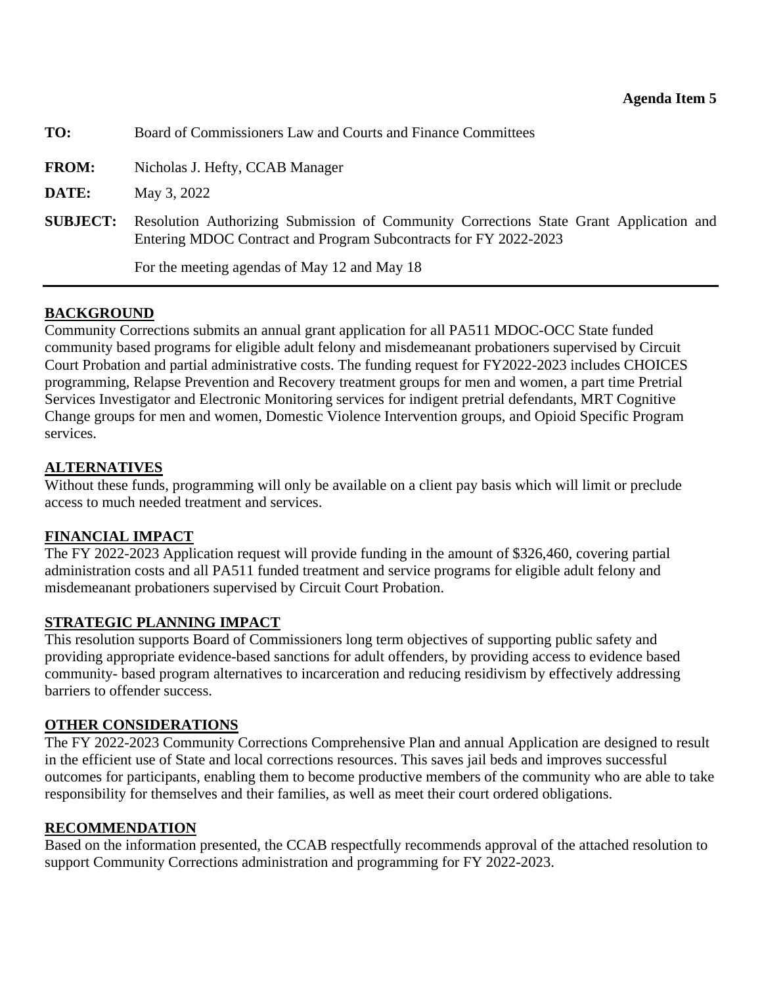<span id="page-21-0"></span>

| TO:             | Board of Commissioners Law and Courts and Finance Committees                                                                                               |
|-----------------|------------------------------------------------------------------------------------------------------------------------------------------------------------|
| <b>FROM:</b>    | Nicholas J. Hefty, CCAB Manager                                                                                                                            |
| DATE:           | May 3, 2022                                                                                                                                                |
| <b>SUBJECT:</b> | Resolution Authorizing Submission of Community Corrections State Grant Application and<br>Entering MDOC Contract and Program Subcontracts for FY 2022-2023 |
|                 | For the meeting agendas of May 12 and May 18                                                                                                               |

## **BACKGROUND**

Community Corrections submits an annual grant application for all PA511 MDOC-OCC State funded community based programs for eligible adult felony and misdemeanant probationers supervised by Circuit Court Probation and partial administrative costs. The funding request for FY2022-2023 includes CHOICES programming, Relapse Prevention and Recovery treatment groups for men and women, a part time Pretrial Services Investigator and Electronic Monitoring services for indigent pretrial defendants, MRT Cognitive Change groups for men and women, Domestic Violence Intervention groups, and Opioid Specific Program services.

## **ALTERNATIVES**

Without these funds, programming will only be available on a client pay basis which will limit or preclude access to much needed treatment and services.

## **FINANCIAL IMPACT**

The FY 2022-2023 Application request will provide funding in the amount of \$326,460, covering partial administration costs and all PA511 funded treatment and service programs for eligible adult felony and misdemeanant probationers supervised by Circuit Court Probation.

## **STRATEGIC PLANNING IMPACT**

This resolution supports Board of Commissioners long term objectives of supporting public safety and providing appropriate evidence-based sanctions for adult offenders, by providing access to evidence based community- based program alternatives to incarceration and reducing residivism by effectively addressing barriers to offender success.

## **OTHER CONSIDERATIONS**

The FY 2022-2023 Community Corrections Comprehensive Plan and annual Application are designed to result in the efficient use of State and local corrections resources. This saves jail beds and improves successful outcomes for participants, enabling them to become productive members of the community who are able to take responsibility for themselves and their families, as well as meet their court ordered obligations.

## **RECOMMENDATION**

Based on the information presented, the CCAB respectfully recommends approval of the attached resolution to support Community Corrections administration and programming for FY 2022-2023.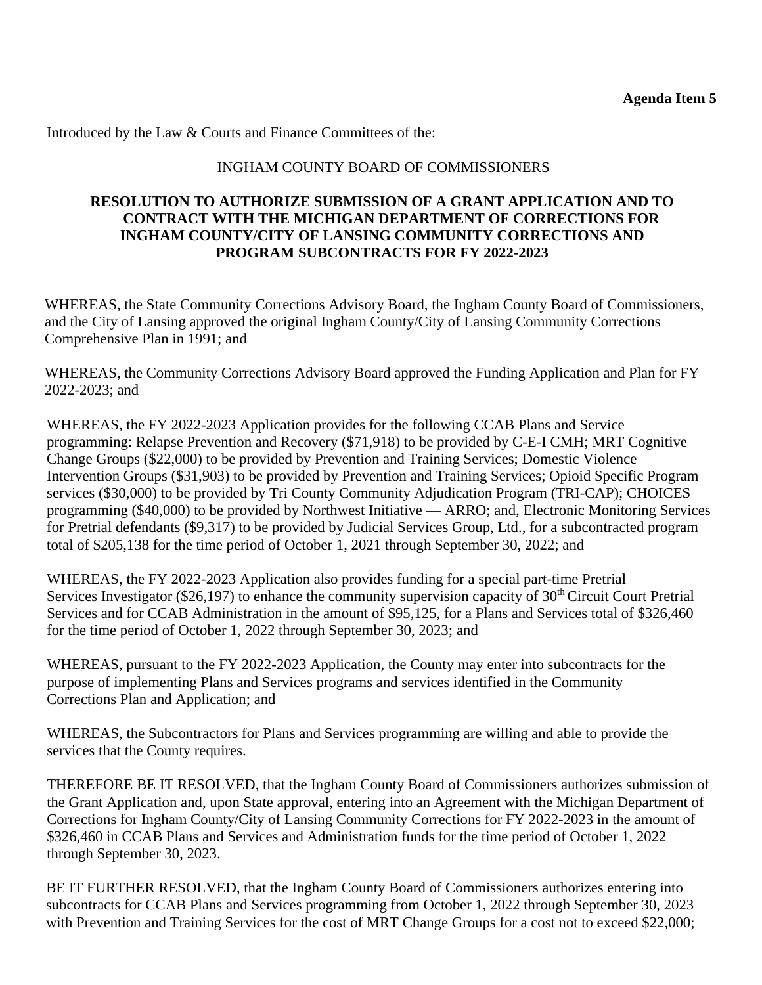Introduced by the Law & Courts and Finance Committees of the:

## INGHAM COUNTY BOARD OF COMMISSIONERS

## **RESOLUTION TO AUTHORIZE SUBMISSION OF A GRANT APPLICATION AND TO CONTRACT WITH THE MICHIGAN DEPARTMENT OF CORRECTIONS FOR INGHAM COUNTY/CITY OF LANSING COMMUNITY CORRECTIONS AND PROGRAM SUBCONTRACTS FOR FY 2022-2023**

WHEREAS, the State Community Corrections Advisory Board, the Ingham County Board of Commissioners, and the City of Lansing approved the original Ingham County/City of Lansing Community Corrections Comprehensive Plan in 1991; and

WHEREAS, the Community Corrections Advisory Board approved the Funding Application and Plan for FY 2022-2023; and

WHEREAS, the FY 2022-2023 Application provides for the following CCAB Plans and Service programming: Relapse Prevention and Recovery (\$71,918) to be provided by C-E-I CMH; MRT Cognitive Change Groups (\$22,000) to be provided by Prevention and Training Services; Domestic Violence Intervention Groups (\$31,903) to be provided by Prevention and Training Services; Opioid Specific Program services (\$30,000) to be provided by Tri County Community Adjudication Program (TRI-CAP); CHOICES programming (\$40,000) to be provided by Northwest Initiative — ARRO; and, Electronic Monitoring Services for Pretrial defendants (\$9,317) to be provided by Judicial Services Group, Ltd., for a subcontracted program total of \$205,138 for the time period of October 1, 2021 through September 30, 2022; and

WHEREAS, the FY 2022-2023 Application also provides funding for a special part-time Pretrial Services Investigator (\$26,197) to enhance the community supervision capacity of  $30<sup>th</sup>$  Circuit Court Pretrial Services and for CCAB Administration in the amount of \$95,125, for a Plans and Services total of \$326,460 for the time period of October 1, 2022 through September 30, 2023; and

WHEREAS, pursuant to the FY 2022-2023 Application, the County may enter into subcontracts for the purpose of implementing Plans and Services programs and services identified in the Community Corrections Plan and Application; and

WHEREAS, the Subcontractors for Plans and Services programming are willing and able to provide the services that the County requires.

THEREFORE BE IT RESOLVED, that the Ingham County Board of Commissioners authorizes submission of the Grant Application and, upon State approval, entering into an Agreement with the Michigan Department of Corrections for Ingham County/City of Lansing Community Corrections for FY 2022-2023 in the amount of \$326,460 in CCAB Plans and Services and Administration funds for the time period of October 1, 2022 through September 30, 2023.

BE IT FURTHER RESOLVED, that the Ingham County Board of Commissioners authorizes entering into subcontracts for CCAB Plans and Services programming from October 1, 2022 through September 30, 2023 with Prevention and Training Services for the cost of MRT Change Groups for a cost not to exceed \$22,000;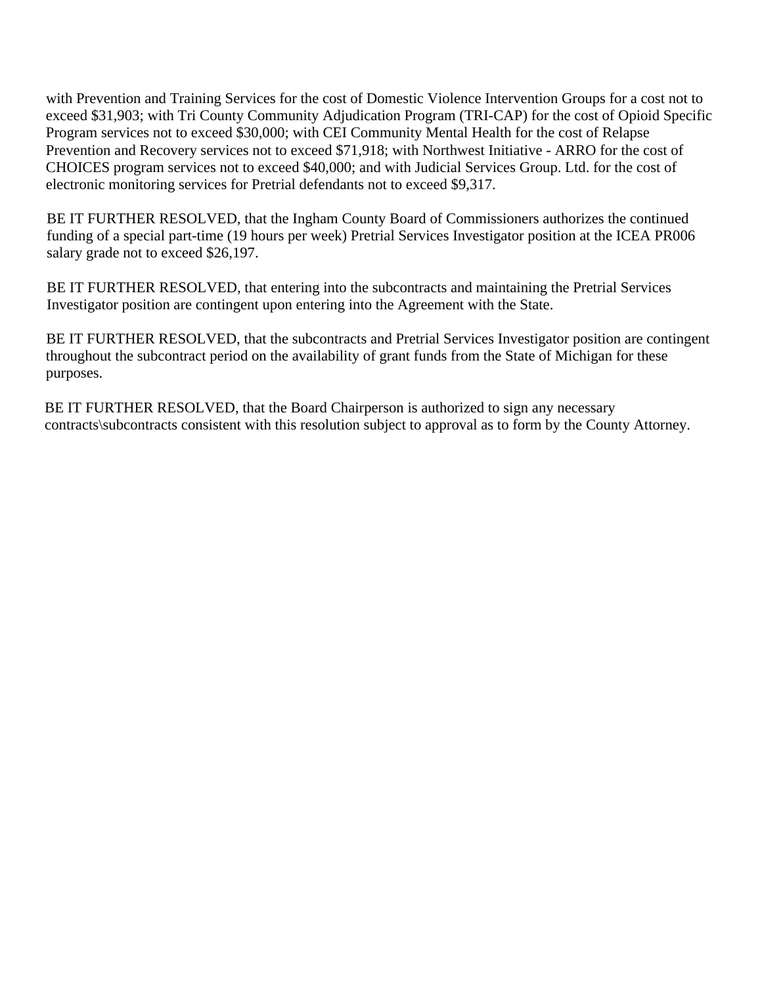with Prevention and Training Services for the cost of Domestic Violence Intervention Groups for a cost not to exceed \$31,903; with Tri County Community Adjudication Program (TRI-CAP) for the cost of Opioid Specific Program services not to exceed \$30,000; with CEI Community Mental Health for the cost of Relapse Prevention and Recovery services not to exceed \$71,918; with Northwest Initiative - ARRO for the cost of CHOICES program services not to exceed \$40,000; and with Judicial Services Group. Ltd. for the cost of electronic monitoring services for Pretrial defendants not to exceed \$9,317.

BE IT FURTHER RESOLVED, that the Ingham County Board of Commissioners authorizes the continued funding of a special part-time (19 hours per week) Pretrial Services Investigator position at the ICEA PR006 salary grade not to exceed \$26,197.

BE IT FURTHER RESOLVED, that entering into the subcontracts and maintaining the Pretrial Services Investigator position are contingent upon entering into the Agreement with the State.

BE IT FURTHER RESOLVED, that the subcontracts and Pretrial Services Investigator position are contingent throughout the subcontract period on the availability of grant funds from the State of Michigan for these purposes.

BE IT FURTHER RESOLVED, that the Board Chairperson is authorized to sign any necessary contracts\subcontracts consistent with this resolution subject to approval as to form by the County Attorney.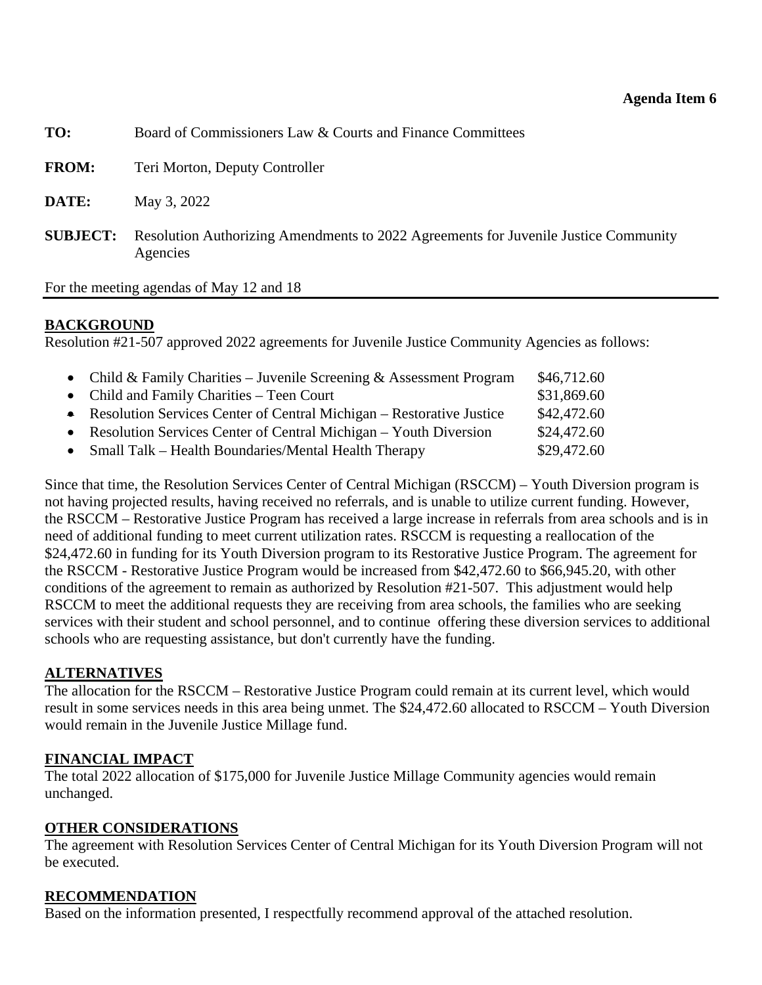<span id="page-24-0"></span>

| TO:             | Board of Commissioners Law & Courts and Finance Committees                                      |
|-----------------|-------------------------------------------------------------------------------------------------|
| <b>FROM:</b>    | Teri Morton, Deputy Controller                                                                  |
| DATE:           | May 3, 2022                                                                                     |
| <b>SUBJECT:</b> | Resolution Authorizing Amendments to 2022 Agreements for Juvenile Justice Community<br>Agencies |
|                 |                                                                                                 |

For the meeting agendas of May 12 and 18

## **BACKGROUND**

Resolution #21-507 approved 2022 agreements for Juvenile Justice Community Agencies as follows:

| • Child & Family Charities – Juvenile Screening & Assessment Program   | \$46,712.60 |
|------------------------------------------------------------------------|-------------|
| • Child and Family Charities – Teen Court                              | \$31,869.60 |
| • Resolution Services Center of Central Michigan – Restorative Justice | \$42,472.60 |
| • Resolution Services Center of Central Michigan – Youth Diversion     | \$24,472.60 |
| • Small Talk – Health Boundaries/Mental Health Therapy                 | \$29,472.60 |

Since that time, the Resolution Services Center of Central Michigan (RSCCM) – Youth Diversion program is not having projected results, having received no referrals, and is unable to utilize current funding. However, the RSCCM – Restorative Justice Program has received a large increase in referrals from area schools and is in need of additional funding to meet current utilization rates. RSCCM is requesting a reallocation of the \$24,472.60 in funding for its Youth Diversion program to its Restorative Justice Program. The agreement for the RSCCM - Restorative Justice Program would be increased from \$42,472.60 to \$66,945.20, with other conditions of the agreement to remain as authorized by Resolution #21-507. This adjustment would help RSCCM to meet the additional requests they are receiving from area schools, the families who are seeking services with their student and school personnel, and to continue offering these diversion services to additional schools who are requesting assistance, but don't currently have the funding.

## **ALTERNATIVES**

The allocation for the RSCCM – Restorative Justice Program could remain at its current level, which would result in some services needs in this area being unmet. The \$24,472.60 allocated to RSCCM – Youth Diversion would remain in the Juvenile Justice Millage fund.

## **FINANCIAL IMPACT**

The total 2022 allocation of \$175,000 for Juvenile Justice Millage Community agencies would remain unchanged.

### **OTHER CONSIDERATIONS**

The agreement with Resolution Services Center of Central Michigan for its Youth Diversion Program will not be executed.

## **RECOMMENDATION**

Based on the information presented, I respectfully recommend approval of the attached resolution.